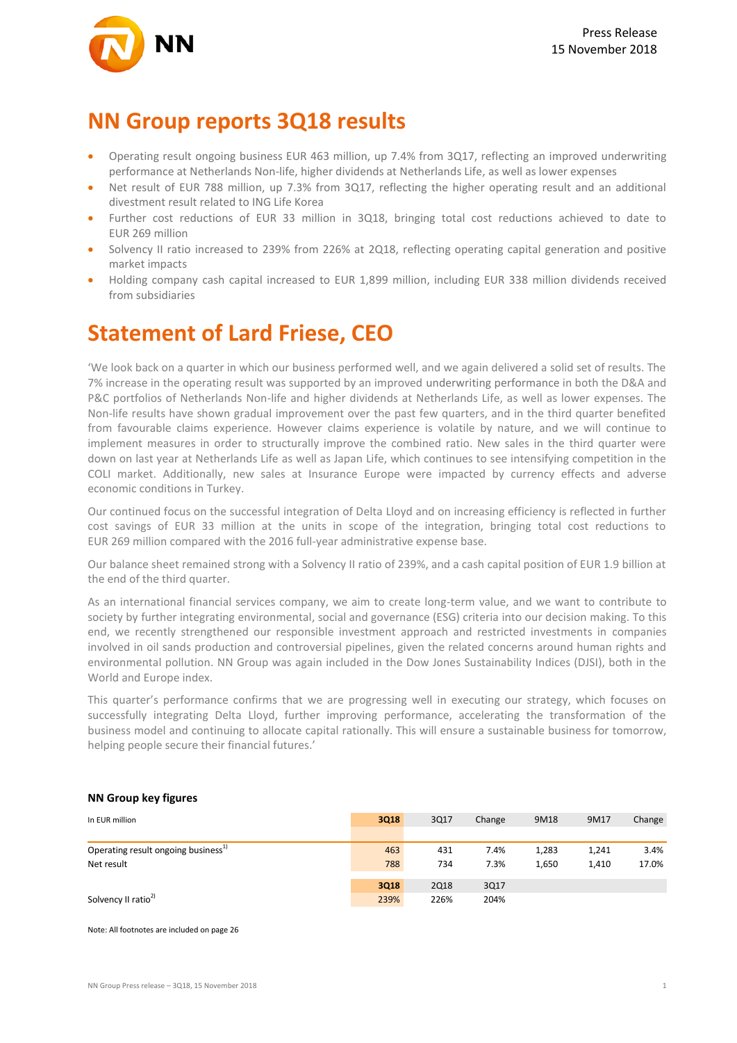

### **NN Group reports 3Q18 results**

- Operating result ongoing business EUR 463 million, up 7.4% from 3Q17, reflecting an improved underwriting performance at Netherlands Non-life, higher dividends at Netherlands Life, as well as lower expenses
- Net result of EUR 788 million, up 7.3% from 3Q17, reflecting the higher operating result and an additional divestment result related to ING Life Korea
- Further cost reductions of EUR 33 million in 3Q18, bringing total cost reductions achieved to date to EUR 269 million
- Solvency II ratio increased to 239% from 226% at 2Q18, reflecting operating capital generation and positive market impacts
- Holding company cash capital increased to EUR 1,899 million, including EUR 338 million dividends received from subsidiaries

## **Statement of Lard Friese, CEO**

'We look back on a quarter in which our business performed well, and we again delivered a solid set of results. The 7% increase in the operating result was supported by an improved underwriting performance in both the D&A and P&C portfolios of Netherlands Non-life and higher dividends at Netherlands Life, as well as lower expenses. The Non-life results have shown gradual improvement over the past few quarters, and in the third quarter benefited from favourable claims experience. However claims experience is volatile by nature, and we will continue to implement measures in order to structurally improve the combined ratio. New sales in the third quarter were down on last year at Netherlands Life as well as Japan Life, which continues to see intensifying competition in the COLI market. Additionally, new sales at Insurance Europe were impacted by currency effects and adverse economic conditions in Turkey.

Our continued focus on the successful integration of Delta Lloyd and on increasing efficiency is reflected in further cost savings of EUR 33 million at the units in scope of the integration, bringing total cost reductions to EUR 269 million compared with the 2016 full-year administrative expense base.

Our balance sheet remained strong with a Solvency II ratio of 239%, and a cash capital position of EUR 1.9 billion at the end of the third quarter.

As an international financial services company, we aim to create long-term value, and we want to contribute to society by further integrating environmental, social and governance (ESG) criteria into our decision making. To this end, we recently strengthened our responsible investment approach and restricted investments in companies involved in oil sands production and controversial pipelines, given the related concerns around human rights and environmental pollution. NN Group was again included in the Dow Jones Sustainability Indices (DJSI), both in the World and Europe index.

This quarter's performance confirms that we are progressing well in executing our strategy, which focuses on successfully integrating Delta Lloyd, further improving performance, accelerating the transformation of the business model and continuing to allocate capital rationally. This will ensure a sustainable business for tomorrow, helping people secure their financial futures.'

### In EUR million **3Q18** 3Q17 Change 9M18 9M17 Change Operating result ongoing business<sup>1)</sup> 15.4% 1,283 1,241 1,283 1,241 1,24% 1,283 1,241 1,24% 1,283 1,241 1,24% 1,283 1,241 1,24% 1,283 1,241 1,24% 1,283 1,241 1,24% 1,283 1,241 1,24% 1,283 1,241 1,283 1,241 1,283 1,241 1,28 Net result 788 734 7.3% 1,650 1,410 17.0% **3Q18** 2Q18 3Q17 Solvency II ratio<sup>2)</sup> 226% 204% 204% 204% 204% 204% 204% 204%

#### **NN Group key figures**

Note: All footnotes are included on page 26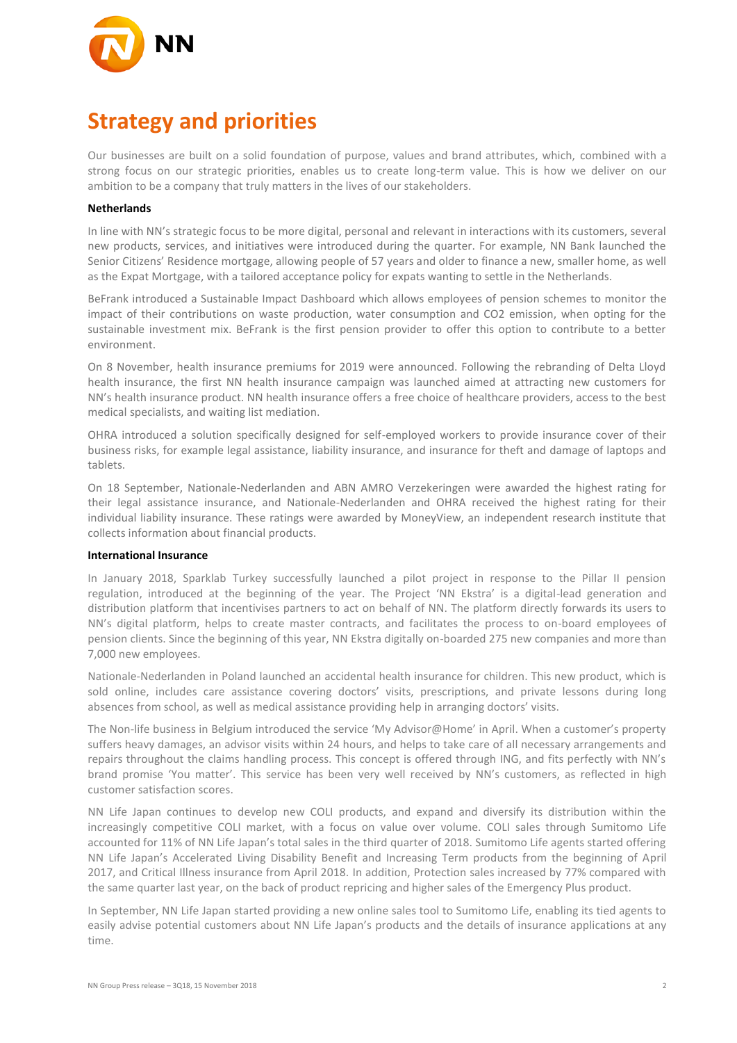

# **Strategy and priorities**

Our businesses are built on a solid foundation of purpose, values and brand attributes, which, combined with a strong focus on our strategic priorities, enables us to create long-term value. This is how we deliver on our ambition to be a company that truly matters in the lives of our stakeholders.

#### **Netherlands**

In line with NN's strategic focus to be more digital, personal and relevant in interactions with its customers, several new products, services, and initiatives were introduced during the quarter. For example, NN Bank launched the Senior Citizens' Residence mortgage, allowing people of 57 years and older to finance a new, smaller home, as well as the Expat Mortgage, with a tailored acceptance policy for expats wanting to settle in the Netherlands.

BeFrank introduced a Sustainable Impact Dashboard which allows employees of pension schemes to monitor the impact of their contributions on waste production, water consumption and CO2 emission, when opting for the sustainable investment mix. BeFrank is the first pension provider to offer this option to contribute to a better environment.

On 8 November, health insurance premiums for 2019 were announced. Following the rebranding of Delta Lloyd health insurance, the first NN health insurance campaign was launched aimed at attracting new customers for NN's health insurance product. NN health insurance offers a free choice of healthcare providers, access to the best medical specialists, and waiting list mediation.

OHRA introduced a solution specifically designed for self-employed workers to provide insurance cover of their business risks, for example legal assistance, liability insurance, and insurance for theft and damage of laptops and tablets.

On 18 September, Nationale-Nederlanden and ABN AMRO Verzekeringen were awarded the highest rating for their legal assistance insurance, and Nationale-Nederlanden and OHRA received the highest rating for their individual liability insurance. These ratings were awarded by MoneyView, an independent research institute that collects information about financial products.

#### **International Insurance**

In January 2018, Sparklab Turkey successfully launched a pilot project in response to the Pillar II pension regulation, introduced at the beginning of the year. The Project 'NN Ekstra' is a digital-lead generation and distribution platform that incentivises partners to act on behalf of NN. The platform directly forwards its users to NN's digital platform, helps to create master contracts, and facilitates the process to on-board employees of pension clients. Since the beginning of this year, NN Ekstra digitally on-boarded 275 new companies and more than 7,000 new employees.

Nationale-Nederlanden in Poland launched an accidental health insurance for children. This new product, which is sold online, includes care assistance covering doctors' visits, prescriptions, and private lessons during long absences from school, as well as medical assistance providing help in arranging doctors' visits.

The Non-life business in Belgium introduced the service 'My Advisor@Home' in April. When a customer's property suffers heavy damages, an advisor visits within 24 hours, and helps to take care of all necessary arrangements and repairs throughout the claims handling process. This concept is offered through ING, and fits perfectly with NN's brand promise 'You matter'. This service has been very well received by NN's customers, as reflected in high customer satisfaction scores.

NN Life Japan continues to develop new COLI products, and expand and diversify its distribution within the increasingly competitive COLI market, with a focus on value over volume. COLI sales through Sumitomo Life accounted for 11% of NN Life Japan's total sales in the third quarter of 2018. Sumitomo Life agents started offering NN Life Japan's Accelerated Living Disability Benefit and Increasing Term products from the beginning of April 2017, and Critical Illness insurance from April 2018. In addition, Protection sales increased by 77% compared with the same quarter last year, on the back of product repricing and higher sales of the Emergency Plus product.

In September, NN Life Japan started providing a new online sales tool to Sumitomo Life, enabling its tied agents to easily advise potential customers about NN Life Japan's products and the details of insurance applications at any time.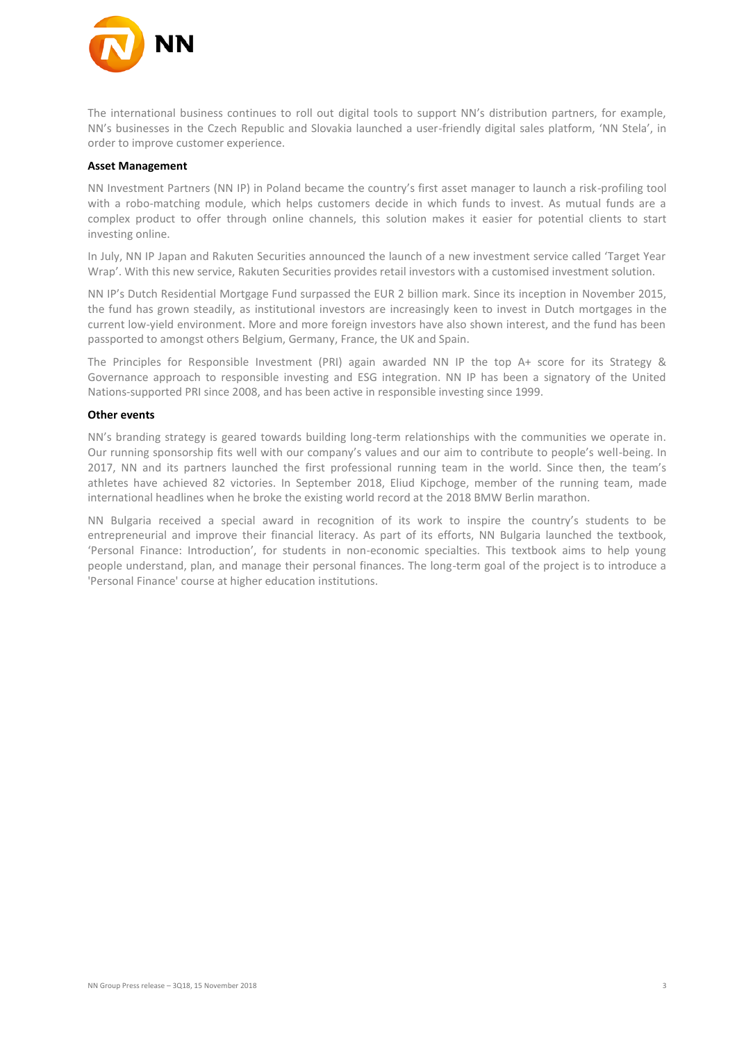

The international business continues to roll out digital tools to support NN's distribution partners, for example, NN's businesses in the Czech Republic and Slovakia launched a user-friendly digital sales platform, 'NN Stela', in order to improve customer experience.

#### **Asset Management**

NN Investment Partners (NN IP) in Poland became the country's first asset manager to launch a risk-profiling tool with a robo-matching module, which helps customers decide in which funds to invest. As mutual funds are a complex product to offer through online channels, this solution makes it easier for potential clients to start investing online.

In July, NN IP Japan and Rakuten Securities announced the launch of a new investment service called 'Target Year Wrap'. With this new service, Rakuten Securities provides retail investors with a customised investment solution.

NN IP's Dutch Residential Mortgage Fund surpassed the EUR 2 billion mark. Since its inception in November 2015, the fund has grown steadily, as institutional investors are increasingly keen to invest in Dutch mortgages in the current low-yield environment. More and more foreign investors have also shown interest, and the fund has been passported to amongst others Belgium, Germany, France, the UK and Spain.

The Principles for Responsible Investment (PRI) again awarded NN IP the top A+ score for its Strategy & Governance approach to responsible investing and ESG integration. NN IP has been a signatory of the United Nations-supported PRI since 2008, and has been active in responsible investing since 1999.

#### **Other events**

NN's branding strategy is geared towards building long-term relationships with the communities we operate in. Our running sponsorship fits well with our company's values and our aim to contribute to people's well-being. In 2017, NN and its partners launched the first professional running team in the world. Since then, the team's athletes have achieved 82 victories. In September 2018, Eliud Kipchoge, member of the running team, made international headlines when he broke the existing world record at the 2018 BMW Berlin marathon.

NN Bulgaria received a special award in recognition of its work to inspire the country's students to be entrepreneurial and improve their financial literacy. As part of its efforts, NN Bulgaria launched the textbook, 'Personal Finance: Introduction', for students in non-economic specialties. This textbook aims to help young people understand, plan, and manage their personal finances. The long-term goal of the project is to introduce a 'Personal Finance' course at higher education institutions.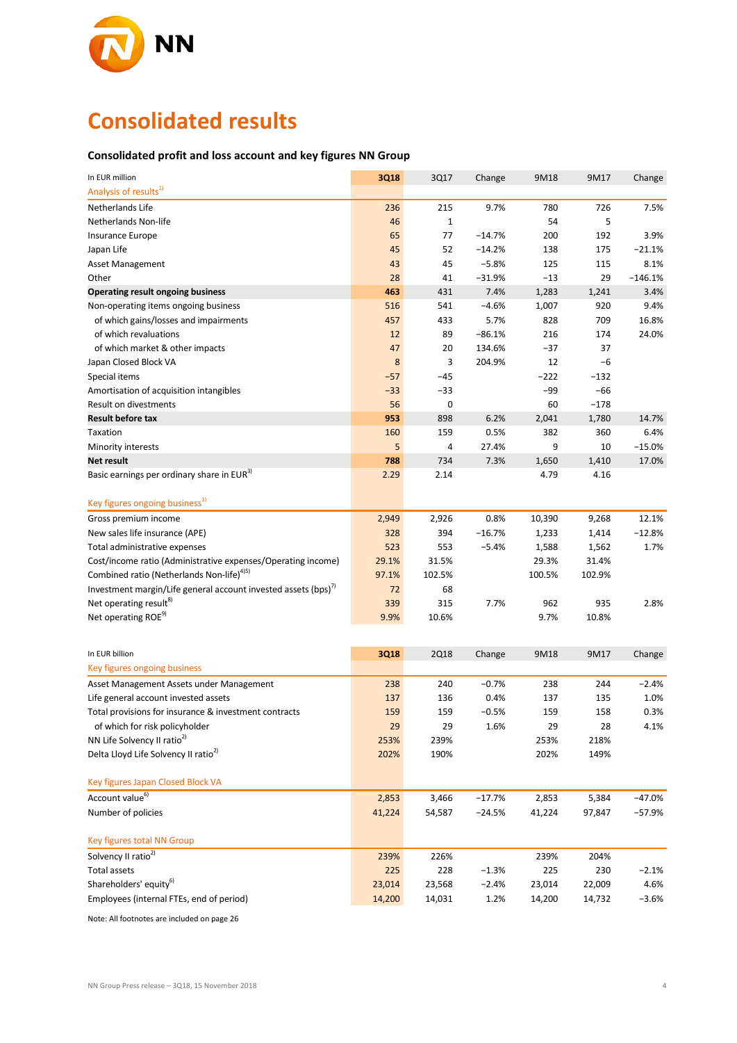

# **Consolidated results**

### **Consolidated profit and loss account and key figures NN Group**

| In EUR million                                                            | 3Q18   | 3Q17        | Change   | 9M18   | 9M17   | Change    |
|---------------------------------------------------------------------------|--------|-------------|----------|--------|--------|-----------|
| Analysis of results <sup>1)</sup>                                         |        |             |          |        |        |           |
| Netherlands Life                                                          | 236    | 215         | 9.7%     | 780    | 726    | 7.5%      |
| Netherlands Non-life                                                      | 46     | $\mathbf 1$ |          | 54     | 5      |           |
| Insurance Europe                                                          | 65     | 77          | $-14.7%$ | 200    | 192    | 3.9%      |
| Japan Life                                                                | 45     | 52          | $-14.2%$ | 138    | 175    | $-21.1%$  |
| Asset Management                                                          | 43     | 45          | $-5.8%$  | 125    | 115    | 8.1%      |
| Other                                                                     | 28     | 41          | $-31.9%$ | $-13$  | 29     | $-146.1%$ |
| <b>Operating result ongoing business</b>                                  | 463    | 431         | 7.4%     | 1,283  | 1,241  | 3.4%      |
| Non-operating items ongoing business                                      | 516    | 541         | $-4.6%$  | 1,007  | 920    | 9.4%      |
| of which gains/losses and impairments                                     | 457    | 433         | 5.7%     | 828    | 709    | 16.8%     |
| of which revaluations                                                     | 12     | 89          | $-86.1%$ | 216    | 174    | 24.0%     |
| of which market & other impacts                                           | 47     | 20          | 134.6%   | $-37$  | 37     |           |
| Japan Closed Block VA                                                     | 8      | 3           | 204.9%   | 12     | $-6$   |           |
| Special items                                                             | $-57$  | $-45$       |          | $-222$ | $-132$ |           |
| Amortisation of acquisition intangibles                                   | $-33$  | $-33$       |          | -99    | $-66$  |           |
| Result on divestments                                                     | 56     | 0           |          | 60     | $-178$ |           |
| <b>Result before tax</b>                                                  | 953    | 898         | 6.2%     | 2,041  | 1,780  | 14.7%     |
| Taxation                                                                  | 160    | 159         | 0.5%     | 382    | 360    | 6.4%      |
| Minority interests                                                        | 5      | 4           | 27.4%    | 9      | 10     | $-15.0%$  |
| Net result                                                                | 788    | 734         | 7.3%     | 1,650  | 1,410  | 17.0%     |
| Basic earnings per ordinary share in EUR <sup>3)</sup>                    | 2.29   | 2.14        |          | 4.79   | 4.16   |           |
| Key figures ongoing business <sup>1)</sup>                                |        |             |          |        |        |           |
| Gross premium income                                                      | 2,949  | 2,926       | 0.8%     | 10,390 | 9,268  | 12.1%     |
| New sales life insurance (APE)                                            | 328    | 394         | $-16.7%$ | 1,233  | 1,414  | $-12.8%$  |
| Total administrative expenses                                             | 523    | 553         | $-5.4%$  | 1,588  | 1,562  | 1.7%      |
| Cost/income ratio (Administrative expenses/Operating income)              | 29.1%  | 31.5%       |          | 29.3%  | 31.4%  |           |
| Combined ratio (Netherlands Non-life) <sup>4)5)</sup>                     | 97.1%  | 102.5%      |          | 100.5% | 102.9% |           |
| Investment margin/Life general account invested assets (bps) <sup>1</sup> | 72     | 68          |          |        |        |           |
| Net operating result <sup>8)</sup>                                        | 339    | 315         | 7.7%     | 962    | 935    | 2.8%      |
| Net operating ROE <sup>9)</sup>                                           | 9.9%   | 10.6%       |          | 9.7%   | 10.8%  |           |
|                                                                           |        |             |          |        |        |           |
| In EUR billion                                                            | 3Q18   | <b>2Q18</b> | Change   | 9M18   | 9M17   | Change    |
| Key figures ongoing business                                              |        |             |          |        |        |           |
| Asset Management Assets under Management                                  | 238    | 240         | $-0.7%$  | 238    | 244    | $-2.4%$   |
| Life general account invested assets                                      | 137    | 136         | 0.4%     | 137    | 135    | 1.0%      |
| Total provisions for insurance & investment contracts                     | 159    | 159         | $-0.5%$  | 159    | 158    | 0.3%      |
| of which for risk policyholder                                            | 29     | 29          | 1.6%     | 29     | 28     | 4.1%      |
| NN Life Solvency II ratio <sup>2)</sup>                                   | 253%   | 239%        |          | 253%   | 218%   |           |
| Delta Lloyd Life Solvency II ratio <sup>2)</sup>                          | 202%   | 190%        |          | 202%   | 149%   |           |
|                                                                           |        |             |          |        |        |           |
| Key figures Japan Closed Block VA                                         |        |             |          |        |        |           |
| Account value <sup>6)</sup>                                               | 2,853  | 3,466       | $-17.7%$ | 2,853  | 5,384  | $-47.0%$  |
| Number of policies                                                        | 41,224 | 54,587      | $-24.5%$ | 41,224 | 97,847 | $-57.9%$  |
| Key figures total NN Group                                                |        |             |          |        |        |           |
| Solvency II ratio <sup>2)</sup>                                           | 239%   | 226%        |          | 239%   | 204%   |           |
| <b>Total assets</b>                                                       | 225    | 228         | $-1.3%$  | 225    | 230    | $-2.1%$   |
| Shareholders' equity <sup>6)</sup>                                        | 23,014 | 23,568      | $-2.4%$  | 23,014 | 22,009 | 4.6%      |
| Employees (internal FTEs, end of period)                                  | 14,200 | 14,031      | 1.2%     | 14,200 | 14,732 | $-3.6%$   |

Note: All footnotes are included on page 26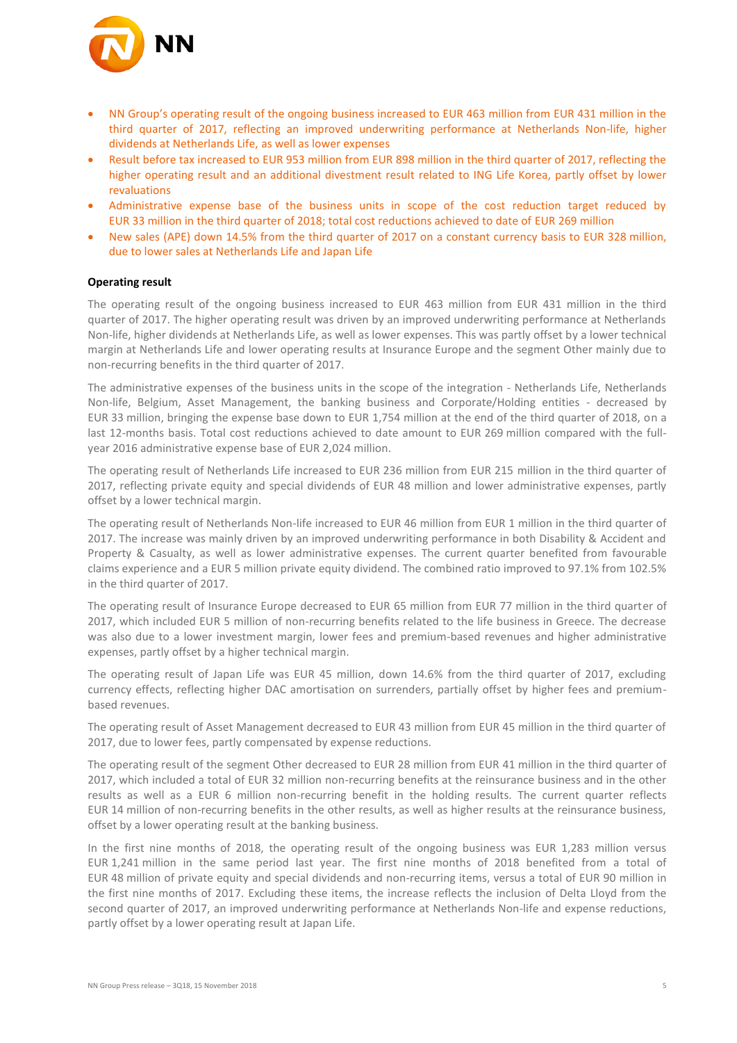

- NN Group's operating result of the ongoing business increased to EUR 463 million from EUR 431 million in the third quarter of 2017, reflecting an improved underwriting performance at Netherlands Non-life, higher dividends at Netherlands Life, as well as lower expenses
- Result before tax increased to EUR 953 million from EUR 898 million in the third quarter of 2017, reflecting the higher operating result and an additional divestment result related to ING Life Korea, partly offset by lower revaluations
- Administrative expense base of the business units in scope of the cost reduction target reduced by EUR 33 million in the third quarter of 2018; total cost reductions achieved to date of EUR 269 million
- New sales (APE) down 14.5% from the third quarter of 2017 on a constant currency basis to EUR 328 million, due to lower sales at Netherlands Life and Japan Life

#### **Operating result**

The operating result of the ongoing business increased to EUR 463 million from EUR 431 million in the third quarter of 2017. The higher operating result was driven by an improved underwriting performance at Netherlands Non-life, higher dividends at Netherlands Life, as well as lower expenses. This was partly offset by a lower technical margin at Netherlands Life and lower operating results at Insurance Europe and the segment Other mainly due to non-recurring benefits in the third quarter of 2017.

The administrative expenses of the business units in the scope of the integration - Netherlands Life, Netherlands Non-life, Belgium, Asset Management, the banking business and Corporate/Holding entities - decreased by EUR 33 million, bringing the expense base down to EUR 1,754 million at the end of the third quarter of 2018, on a last 12-months basis. Total cost reductions achieved to date amount to EUR 269 million compared with the fullyear 2016 administrative expense base of EUR 2,024 million.

The operating result of Netherlands Life increased to EUR 236 million from EUR 215 million in the third quarter of 2017, reflecting private equity and special dividends of EUR 48 million and lower administrative expenses, partly offset by a lower technical margin.

The operating result of Netherlands Non-life increased to EUR 46 million from EUR 1 million in the third quarter of 2017. The increase was mainly driven by an improved underwriting performance in both Disability & Accident and Property & Casualty, as well as lower administrative expenses. The current quarter benefited from favourable claims experience and a EUR 5 million private equity dividend. The combined ratio improved to 97.1% from 102.5% in the third quarter of 2017.

The operating result of Insurance Europe decreased to EUR 65 million from EUR 77 million in the third quarter of 2017, which included EUR 5 million of non-recurring benefits related to the life business in Greece. The decrease was also due to a lower investment margin, lower fees and premium-based revenues and higher administrative expenses, partly offset by a higher technical margin.

The operating result of Japan Life was EUR 45 million, down 14.6% from the third quarter of 2017, excluding currency effects, reflecting higher DAC amortisation on surrenders, partially offset by higher fees and premiumbased revenues.

The operating result of Asset Management decreased to EUR 43 million from EUR 45 million in the third quarter of 2017, due to lower fees, partly compensated by expense reductions.

The operating result of the segment Other decreased to EUR 28 million from EUR 41 million in the third quarter of 2017, which included a total of EUR 32 million non-recurring benefits at the reinsurance business and in the other results as well as a EUR 6 million non-recurring benefit in the holding results. The current quarter reflects EUR 14 million of non-recurring benefits in the other results, as well as higher results at the reinsurance business, offset by a lower operating result at the banking business.

In the first nine months of 2018, the operating result of the ongoing business was EUR 1,283 million versus EUR 1,241 million in the same period last year. The first nine months of 2018 benefited from a total of EUR 48 million of private equity and special dividends and non-recurring items, versus a total of EUR 90 million in the first nine months of 2017. Excluding these items, the increase reflects the inclusion of Delta Lloyd from the second quarter of 2017, an improved underwriting performance at Netherlands Non-life and expense reductions, partly offset by a lower operating result at Japan Life.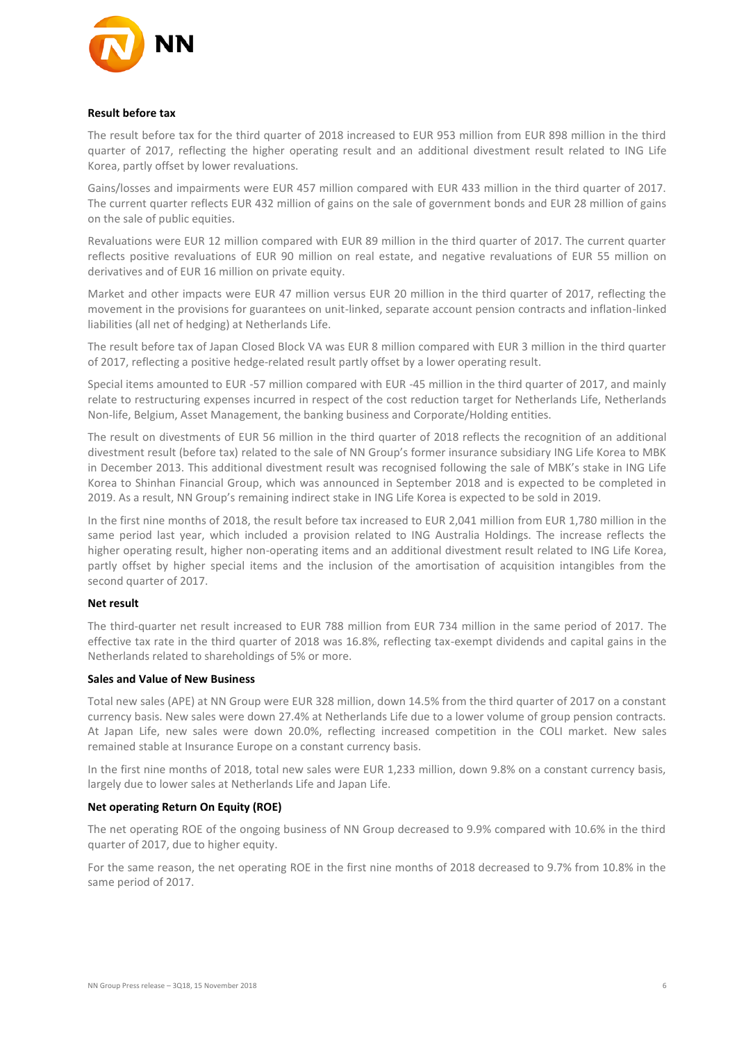

#### **Result before tax**

The result before tax for the third quarter of 2018 increased to EUR 953 million from EUR 898 million in the third quarter of 2017, reflecting the higher operating result and an additional divestment result related to ING Life Korea, partly offset by lower revaluations.

Gains/losses and impairments were EUR 457 million compared with EUR 433 million in the third quarter of 2017. The current quarter reflects EUR 432 million of gains on the sale of government bonds and EUR 28 million of gains on the sale of public equities.

Revaluations were EUR 12 million compared with EUR 89 million in the third quarter of 2017. The current quarter reflects positive revaluations of EUR 90 million on real estate, and negative revaluations of EUR 55 million on derivatives and of EUR 16 million on private equity.

Market and other impacts were EUR 47 million versus EUR 20 million in the third quarter of 2017, reflecting the movement in the provisions for guarantees on unit-linked, separate account pension contracts and inflation-linked liabilities (all net of hedging) at Netherlands Life.

The result before tax of Japan Closed Block VA was EUR 8 million compared with EUR 3 million in the third quarter of 2017, reflecting a positive hedge-related result partly offset by a lower operating result.

Special items amounted to EUR -57 million compared with EUR -45 million in the third quarter of 2017, and mainly relate to restructuring expenses incurred in respect of the cost reduction target for Netherlands Life, Netherlands Non-life, Belgium, Asset Management, the banking business and Corporate/Holding entities.

The result on divestments of EUR 56 million in the third quarter of 2018 reflects the recognition of an additional divestment result (before tax) related to the sale of NN Group's former insurance subsidiary ING Life Korea to MBK in December 2013. This additional divestment result was recognised following the sale of MBK's stake in ING Life Korea to Shinhan Financial Group, which was announced in September 2018 and is expected to be completed in 2019. As a result, NN Group's remaining indirect stake in ING Life Korea is expected to be sold in 2019.

In the first nine months of 2018, the result before tax increased to EUR 2,041 million from EUR 1,780 million in the same period last year, which included a provision related to ING Australia Holdings. The increase reflects the higher operating result, higher non-operating items and an additional divestment result related to ING Life Korea, partly offset by higher special items and the inclusion of the amortisation of acquisition intangibles from the second quarter of 2017.

#### **Net result**

The third-quarter net result increased to EUR 788 million from EUR 734 million in the same period of 2017. The effective tax rate in the third quarter of 2018 was 16.8%, reflecting tax-exempt dividends and capital gains in the Netherlands related to shareholdings of 5% or more.

#### **Sales and Value of New Business**

Total new sales (APE) at NN Group were EUR 328 million, down 14.5% from the third quarter of 2017 on a constant currency basis. New sales were down 27.4% at Netherlands Life due to a lower volume of group pension contracts. At Japan Life, new sales were down 20.0%, reflecting increased competition in the COLI market. New sales remained stable at Insurance Europe on a constant currency basis.

In the first nine months of 2018, total new sales were EUR 1,233 million, down 9.8% on a constant currency basis, largely due to lower sales at Netherlands Life and Japan Life.

#### **Net operating Return On Equity (ROE)**

The net operating ROE of the ongoing business of NN Group decreased to 9.9% compared with 10.6% in the third quarter of 2017, due to higher equity.

For the same reason, the net operating ROE in the first nine months of 2018 decreased to 9.7% from 10.8% in the same period of 2017.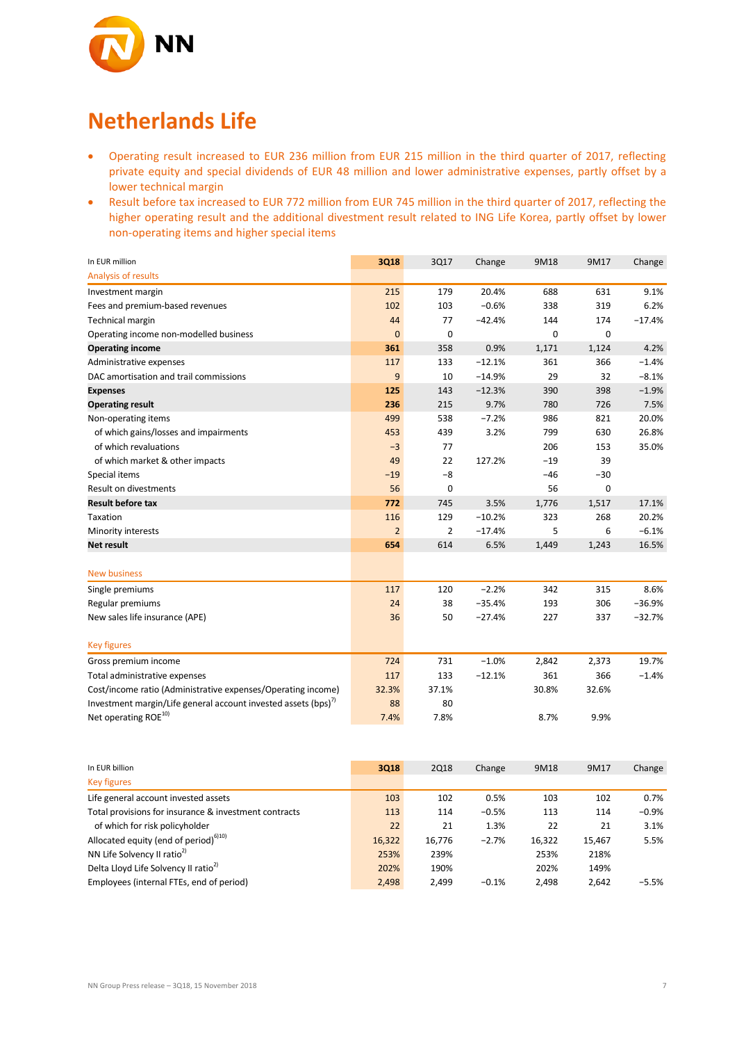

## **Netherlands Life**

- Operating result increased to EUR 236 million from EUR 215 million in the third quarter of 2017, reflecting private equity and special dividends of EUR 48 million and lower administrative expenses, partly offset by a lower technical margin
- Result before tax increased to EUR 772 million from EUR 745 million in the third quarter of 2017, reflecting the higher operating result and the additional divestment result related to ING Life Korea, partly offset by lower non-operating items and higher special items

| In EUR million                                                            | 3Q18           | 3Q17  | Change   | 9M18  | 9M17        | Change   |
|---------------------------------------------------------------------------|----------------|-------|----------|-------|-------------|----------|
| Analysis of results                                                       |                |       |          |       |             |          |
| Investment margin                                                         | 215            | 179   | 20.4%    | 688   | 631         | 9.1%     |
| Fees and premium-based revenues                                           | 102            | 103   | $-0.6%$  | 338   | 319         | 6.2%     |
| Technical margin                                                          | 44             | 77    | $-42.4%$ | 144   | 174         | $-17.4%$ |
| Operating income non-modelled business                                    | $\mathbf{0}$   | 0     |          | 0     | $\mathbf 0$ |          |
| <b>Operating income</b>                                                   | 361            | 358   | 0.9%     | 1,171 | 1,124       | 4.2%     |
| Administrative expenses                                                   | 117            | 133   | $-12.1%$ | 361   | 366         | $-1.4%$  |
| DAC amortisation and trail commissions                                    | 9              | 10    | $-14.9%$ | 29    | 32          | $-8.1%$  |
| <b>Expenses</b>                                                           | 125            | 143   | $-12.3%$ | 390   | 398         | $-1.9%$  |
| <b>Operating result</b>                                                   | 236            | 215   | 9.7%     | 780   | 726         | 7.5%     |
| Non-operating items                                                       | 499            | 538   | $-7.2%$  | 986   | 821         | 20.0%    |
| of which gains/losses and impairments                                     | 453            | 439   | 3.2%     | 799   | 630         | 26.8%    |
| of which revaluations                                                     | $-3$           | 77    |          | 206   | 153         | 35.0%    |
| of which market & other impacts                                           | 49             | 22    | 127.2%   | $-19$ | 39          |          |
| Special items                                                             | $-19$          | $-8$  |          | $-46$ | $-30$       |          |
| Result on divestments                                                     | 56             | 0     |          | 56    | 0           |          |
| <b>Result before tax</b>                                                  | 772            | 745   | 3.5%     | 1,776 | 1,517       | 17.1%    |
| Taxation                                                                  | 116            | 129   | $-10.2%$ | 323   | 268         | 20.2%    |
| Minority interests                                                        | $\overline{2}$ | 2     | $-17.4%$ | 5     | 6           | $-6.1%$  |
| <b>Net result</b>                                                         | 654            | 614   | 6.5%     | 1,449 | 1,243       | 16.5%    |
| <b>New business</b>                                                       |                |       |          |       |             |          |
| Single premiums                                                           | 117            | 120   | $-2.2%$  | 342   | 315         | 8.6%     |
| Regular premiums                                                          | 24             | 38    | $-35.4%$ | 193   | 306         | $-36.9%$ |
| New sales life insurance (APE)                                            | 36             | 50    | $-27.4%$ | 227   | 337         | $-32.7%$ |
| <b>Key figures</b>                                                        |                |       |          |       |             |          |
| Gross premium income                                                      | 724            | 731   | $-1.0%$  | 2,842 | 2,373       | 19.7%    |
| Total administrative expenses                                             | 117            | 133   | $-12.1%$ | 361   | 366         | $-1.4%$  |
| Cost/income ratio (Administrative expenses/Operating income)              | 32.3%          | 37.1% |          | 30.8% | 32.6%       |          |
| Investment margin/Life general account invested assets (bps) <sup>1</sup> | 88             | 80    |          |       |             |          |
| Net operating ROE <sup>10)</sup>                                          | 7.4%           | 7.8%  |          | 8.7%  | 9.9%        |          |

| In EUR billion                                        | 3Q18   | <b>2Q18</b> | Change  | 9M18   | 9M17   | Change  |
|-------------------------------------------------------|--------|-------------|---------|--------|--------|---------|
| <b>Key figures</b>                                    |        |             |         |        |        |         |
| Life general account invested assets                  | 103    | 102         | 0.5%    | 103    | 102    | 0.7%    |
| Total provisions for insurance & investment contracts | 113    | 114         | $-0.5%$ | 113    | 114    | $-0.9%$ |
| of which for risk policyholder                        | 22     | 21          | 1.3%    | 22     | 21     | 3.1%    |
| Allocated equity (end of period) <sup>6)10)</sup>     | 16,322 | 16,776      | $-2.7%$ | 16,322 | 15.467 | 5.5%    |
| NN Life Solvency II ratio <sup>2)</sup>               | 253%   | 239%        |         | 253%   | 218%   |         |
| Delta Lloyd Life Solvency II ratio <sup>2)</sup>      | 202%   | 190%        |         | 202%   | 149%   |         |
| Employees (internal FTEs, end of period)              | 2.498  | 2.499       | $-0.1%$ | 2.498  | 2.642  | $-5.5%$ |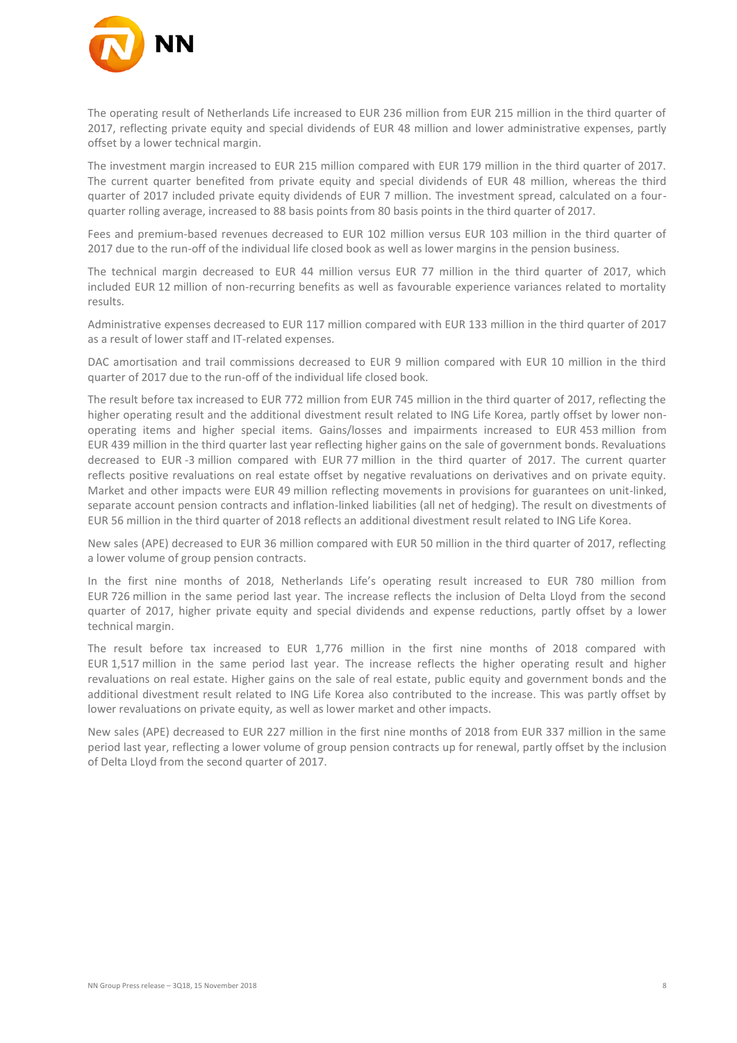

The operating result of Netherlands Life increased to EUR 236 million from EUR 215 million in the third quarter of 2017, reflecting private equity and special dividends of EUR 48 million and lower administrative expenses, partly offset by a lower technical margin.

The investment margin increased to EUR 215 million compared with EUR 179 million in the third quarter of 2017. The current quarter benefited from private equity and special dividends of EUR 48 million, whereas the third quarter of 2017 included private equity dividends of EUR 7 million. The investment spread, calculated on a fourquarter rolling average, increased to 88 basis points from 80 basis points in the third quarter of 2017.

Fees and premium-based revenues decreased to EUR 102 million versus EUR 103 million in the third quarter of 2017 due to the run-off of the individual life closed book as well as lower margins in the pension business.

The technical margin decreased to EUR 44 million versus EUR 77 million in the third quarter of 2017, which included EUR 12 million of non-recurring benefits as well as favourable experience variances related to mortality results.

Administrative expenses decreased to EUR 117 million compared with EUR 133 million in the third quarter of 2017 as a result of lower staff and IT-related expenses.

DAC amortisation and trail commissions decreased to EUR 9 million compared with EUR 10 million in the third quarter of 2017 due to the run-off of the individual life closed book.

The result before tax increased to EUR 772 million from EUR 745 million in the third quarter of 2017, reflecting the higher operating result and the additional divestment result related to ING Life Korea, partly offset by lower nonoperating items and higher special items. Gains/losses and impairments increased to EUR 453 million from EUR 439 million in the third quarter last year reflecting higher gains on the sale of government bonds. Revaluations decreased to EUR -3 million compared with EUR 77 million in the third quarter of 2017. The current quarter reflects positive revaluations on real estate offset by negative revaluations on derivatives and on private equity. Market and other impacts were EUR 49 million reflecting movements in provisions for guarantees on unit-linked, separate account pension contracts and inflation-linked liabilities (all net of hedging). The result on divestments of EUR 56 million in the third quarter of 2018 reflects an additional divestment result related to ING Life Korea.

New sales (APE) decreased to EUR 36 million compared with EUR 50 million in the third quarter of 2017, reflecting a lower volume of group pension contracts.

In the first nine months of 2018, Netherlands Life's operating result increased to EUR 780 million from EUR 726 million in the same period last year. The increase reflects the inclusion of Delta Lloyd from the second quarter of 2017, higher private equity and special dividends and expense reductions, partly offset by a lower technical margin.

The result before tax increased to EUR 1,776 million in the first nine months of 2018 compared with EUR 1,517 million in the same period last year. The increase reflects the higher operating result and higher revaluations on real estate. Higher gains on the sale of real estate, public equity and government bonds and the additional divestment result related to ING Life Korea also contributed to the increase. This was partly offset by lower revaluations on private equity, as well as lower market and other impacts.

New sales (APE) decreased to EUR 227 million in the first nine months of 2018 from EUR 337 million in the same period last year, reflecting a lower volume of group pension contracts up for renewal, partly offset by the inclusion of Delta Lloyd from the second quarter of 2017.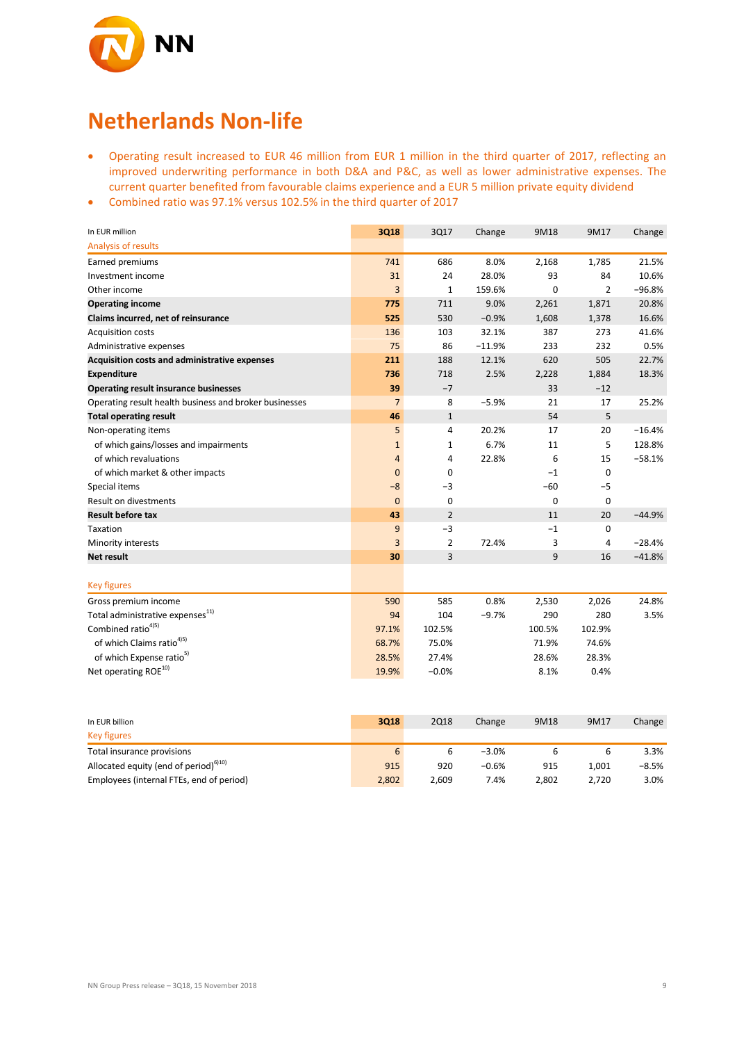

## **Netherlands Non-life**

- Operating result increased to EUR 46 million from EUR 1 million in the third quarter of 2017, reflecting an improved underwriting performance in both D&A and P&C, as well as lower administrative expenses. The current quarter benefited from favourable claims experience and a EUR 5 million private equity dividend
- Combined ratio was 97.1% versus 102.5% in the third quarter of 2017

| In EUR million                                         | 3Q18           | 3Q17           | Change   | 9M18     | 9M17           | Change   |
|--------------------------------------------------------|----------------|----------------|----------|----------|----------------|----------|
| Analysis of results                                    |                |                |          |          |                |          |
| Earned premiums                                        | 741            | 686            | 8.0%     | 2,168    | 1,785          | 21.5%    |
| Investment income                                      | 31             | 24             | 28.0%    | 93       | 84             | 10.6%    |
| Other income                                           | 3              | 1              | 159.6%   | $\Omega$ | $\overline{2}$ | $-96.8%$ |
| <b>Operating income</b>                                | 775            | 711            | 9.0%     | 2,261    | 1,871          | 20.8%    |
| Claims incurred, net of reinsurance                    | 525            | 530            | $-0.9%$  | 1,608    | 1,378          | 16.6%    |
| <b>Acquisition costs</b>                               | 136            | 103            | 32.1%    | 387      | 273            | 41.6%    |
| Administrative expenses                                | 75             | 86             | $-11.9%$ | 233      | 232            | 0.5%     |
| Acquisition costs and administrative expenses          | 211            | 188            | 12.1%    | 620      | 505            | 22.7%    |
| <b>Expenditure</b>                                     | 736            | 718            | 2.5%     | 2,228    | 1,884          | 18.3%    |
| <b>Operating result insurance businesses</b>           | 39             | $-7$           |          | 33       | $-12$          |          |
| Operating result health business and broker businesses | $\overline{7}$ | 8              | $-5.9%$  | 21       | 17             | 25.2%    |
| <b>Total operating result</b>                          | 46             | $\mathbf{1}$   |          | 54       | 5              |          |
| Non-operating items                                    | 5              | 4              | 20.2%    | 17       | 20             | $-16.4%$ |
| of which gains/losses and impairments                  | $\mathbf{1}$   | $\mathbf{1}$   | 6.7%     | 11       | 5              | 128.8%   |
| of which revaluations                                  | $\overline{4}$ | 4              | 22.8%    | 6        | 15             | $-58.1%$ |
| of which market & other impacts                        | $\mathbf{0}$   | 0              |          | $-1$     | 0              |          |
| Special items                                          | $-8$           | $-3$           |          | $-60$    | $-5$           |          |
| Result on divestments                                  | $\Omega$       | $\mathbf 0$    |          | 0        | 0              |          |
| <b>Result before tax</b>                               | 43             | $\overline{2}$ |          | 11       | 20             | $-44.9%$ |
| Taxation                                               | 9              | $-3$           |          | $-1$     | 0              |          |
| Minority interests                                     | 3              | $\overline{2}$ | 72.4%    | 3        | 4              | $-28.4%$ |
| <b>Net result</b>                                      | 30             | 3              |          | 9        | 16             | $-41.8%$ |
| <b>Key figures</b>                                     |                |                |          |          |                |          |
| Gross premium income                                   | 590            | 585            | 0.8%     | 2,530    | 2,026          | 24.8%    |
| Total administrative expenses <sup>11)</sup>           | 94             | 104            | $-9.7%$  | 290      | 280            | 3.5%     |
| Combined ratio <sup>4)5)</sup>                         | 97.1%          | 102.5%         |          | 100.5%   | 102.9%         |          |
| of which Claims ratio <sup>4)5)</sup>                  | 68.7%          | 75.0%          |          | 71.9%    | 74.6%          |          |
| of which Expense ratio <sup>5)</sup>                   | 28.5%          | 27.4%          |          | 28.6%    | 28.3%          |          |
| Net operating ROE <sup>10)</sup>                       | 19.9%          | $-0.0%$        |          | 8.1%     | 0.4%           |          |

| In EUR billion                                    | 3Q18  | <b>2Q18</b> | Change  | 9M18  | 9M17  | Change |
|---------------------------------------------------|-------|-------------|---------|-------|-------|--------|
| Key figures                                       |       |             |         |       |       |        |
| Total insurance provisions                        | 6     |             | $-3.0%$ |       |       | 3.3%   |
| Allocated equity (end of period) <sup>6)10)</sup> | 915   | 920         | $-0.6%$ | 915   | 1.001 | -8.5%  |
| Employees (internal FTEs, end of period)          | 2,802 | 2.609       | 7.4%    | 2,802 | 2.720 | 3.0%   |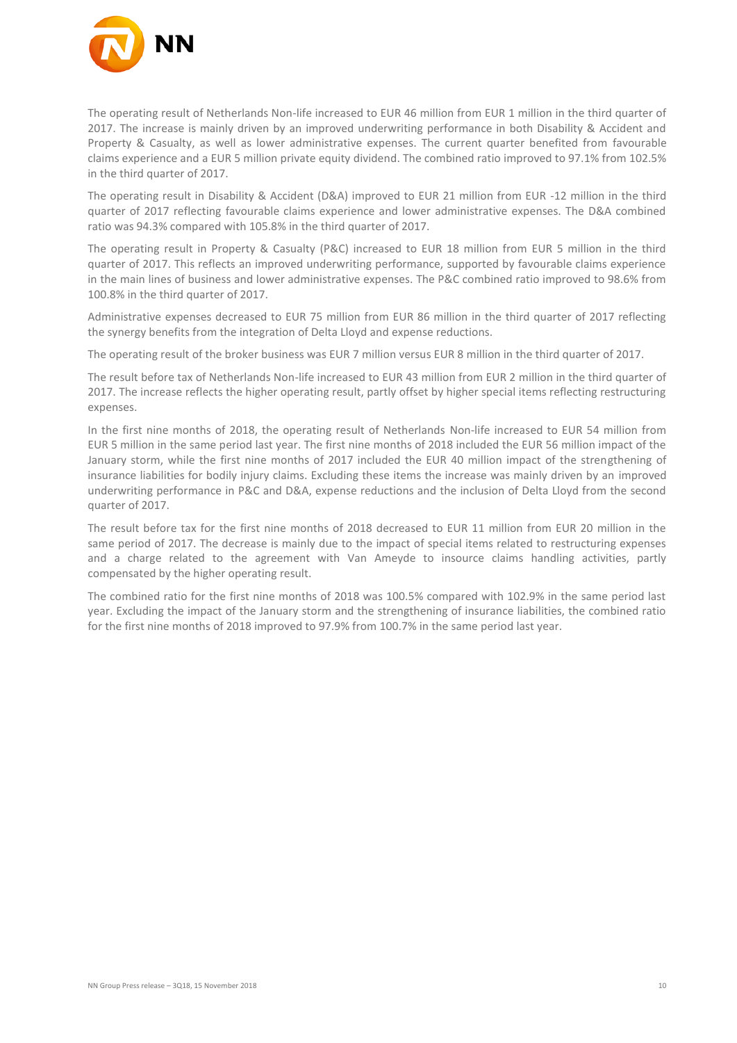

The operating result of Netherlands Non-life increased to EUR 46 million from EUR 1 million in the third quarter of 2017. The increase is mainly driven by an improved underwriting performance in both Disability & Accident and Property & Casualty, as well as lower administrative expenses. The current quarter benefited from favourable claims experience and a EUR 5 million private equity dividend. The combined ratio improved to 97.1% from 102.5% in the third quarter of 2017.

The operating result in Disability & Accident (D&A) improved to EUR 21 million from EUR -12 million in the third quarter of 2017 reflecting favourable claims experience and lower administrative expenses. The D&A combined ratio was 94.3% compared with 105.8% in the third quarter of 2017.

The operating result in Property & Casualty (P&C) increased to EUR 18 million from EUR 5 million in the third quarter of 2017. This reflects an improved underwriting performance, supported by favourable claims experience in the main lines of business and lower administrative expenses. The P&C combined ratio improved to 98.6% from 100.8% in the third quarter of 2017.

Administrative expenses decreased to EUR 75 million from EUR 86 million in the third quarter of 2017 reflecting the synergy benefits from the integration of Delta Lloyd and expense reductions.

The operating result of the broker business was EUR 7 million versus EUR 8 million in the third quarter of 2017.

The result before tax of Netherlands Non-life increased to EUR 43 million from EUR 2 million in the third quarter of 2017. The increase reflects the higher operating result, partly offset by higher special items reflecting restructuring expenses.

In the first nine months of 2018, the operating result of Netherlands Non-life increased to EUR 54 million from EUR 5 million in the same period last year. The first nine months of 2018 included the EUR 56 million impact of the January storm, while the first nine months of 2017 included the EUR 40 million impact of the strengthening of insurance liabilities for bodily injury claims. Excluding these items the increase was mainly driven by an improved underwriting performance in P&C and D&A, expense reductions and the inclusion of Delta Lloyd from the second quarter of 2017.

The result before tax for the first nine months of 2018 decreased to EUR 11 million from EUR 20 million in the same period of 2017. The decrease is mainly due to the impact of special items related to restructuring expenses and a charge related to the agreement with Van Ameyde to insource claims handling activities, partly compensated by the higher operating result.

The combined ratio for the first nine months of 2018 was 100.5% compared with 102.9% in the same period last year. Excluding the impact of the January storm and the strengthening of insurance liabilities, the combined ratio for the first nine months of 2018 improved to 97.9% from 100.7% in the same period last year.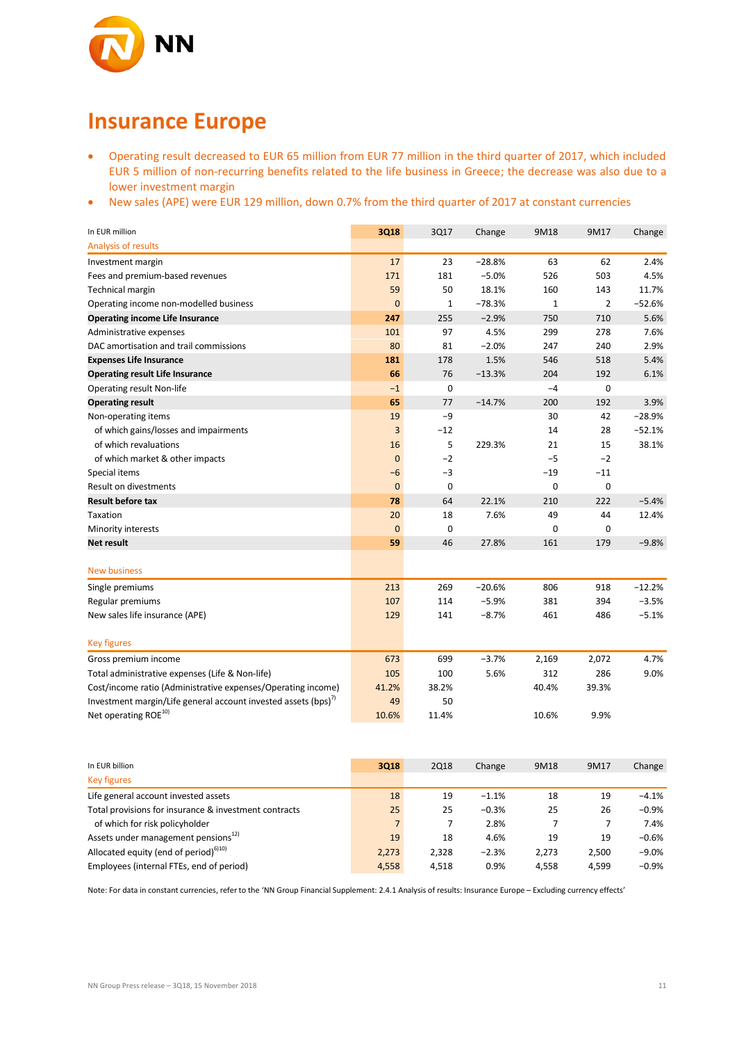

## **Insurance Europe**

- Operating result decreased to EUR 65 million from EUR 77 million in the third quarter of 2017, which included EUR 5 million of non-recurring benefits related to the life business in Greece; the decrease was also due to a lower investment margin
- New sales (APE) were EUR 129 million, down 0.7% from the third quarter of 2017 at constant currencies

| In EUR million                                                            | 3Q18           | 3Q17        | Change   | 9M18        | 9M17           | Change   |
|---------------------------------------------------------------------------|----------------|-------------|----------|-------------|----------------|----------|
| Analysis of results                                                       |                |             |          |             |                |          |
| Investment margin                                                         | 17             | 23          | $-28.8%$ | 63          | 62             | 2.4%     |
| Fees and premium-based revenues                                           | 171            | 181         | $-5.0%$  | 526         | 503            | 4.5%     |
| Technical margin                                                          | 59             | 50          | 18.1%    | 160         | 143            | 11.7%    |
| Operating income non-modelled business                                    | $\overline{0}$ | 1           | $-78.3%$ | $1\,$       | $\overline{2}$ | $-52.6%$ |
| <b>Operating income Life Insurance</b>                                    | 247            | 255         | $-2.9%$  | 750         | 710            | 5.6%     |
| Administrative expenses                                                   | 101            | 97          | 4.5%     | 299         | 278            | 7.6%     |
| DAC amortisation and trail commissions                                    | 80             | 81          | $-2.0%$  | 247         | 240            | 2.9%     |
| <b>Expenses Life Insurance</b>                                            | 181            | 178         | 1.5%     | 546         | 518            | 5.4%     |
| <b>Operating result Life Insurance</b>                                    | 66             | 76          | $-13.3%$ | 204         | 192            | 6.1%     |
| <b>Operating result Non-life</b>                                          | $-1$           | 0           |          | $-4$        | 0              |          |
| <b>Operating result</b>                                                   | 65             | 77          | $-14.7%$ | 200         | 192            | 3.9%     |
| Non-operating items                                                       | 19             | $-9$        |          | 30          | 42             | $-28.9%$ |
| of which gains/losses and impairments                                     | 3              | $-12$       |          | 14          | 28             | $-52.1%$ |
| of which revaluations                                                     | 16             | 5           | 229.3%   | 21          | 15             | 38.1%    |
| of which market & other impacts                                           | $\mathbf{0}$   | $-2$        |          | $-5$        | $-2$           |          |
| Special items                                                             | $-6$           | $-3$        |          | $-19$       | $-11$          |          |
| <b>Result on divestments</b>                                              | $\mathbf{0}$   | $\mathbf 0$ |          | $\mathbf 0$ | $\mathbf 0$    |          |
| <b>Result before tax</b>                                                  | 78             | 64          | 22.1%    | 210         | 222            | $-5.4%$  |
| Taxation                                                                  | 20             | 18          | 7.6%     | 49          | 44             | 12.4%    |
| Minority interests                                                        | $\overline{0}$ | $\mathbf 0$ |          | $\mathbf 0$ | 0              |          |
| Net result                                                                | 59             | 46          | 27.8%    | 161         | 179            | $-9.8%$  |
|                                                                           |                |             |          |             |                |          |
| <b>New business</b>                                                       |                |             |          |             |                |          |
| Single premiums                                                           | 213            | 269         | $-20.6%$ | 806         | 918            | $-12.2%$ |
| Regular premiums                                                          | 107            | 114         | $-5.9%$  | 381         | 394            | $-3.5%$  |
| New sales life insurance (APE)                                            | 129            | 141         | $-8.7%$  | 461         | 486            | $-5.1%$  |
|                                                                           |                |             |          |             |                |          |
| <b>Key figures</b>                                                        |                |             |          |             |                |          |
| Gross premium income                                                      | 673            | 699         | $-3.7%$  | 2,169       | 2,072          | 4.7%     |
| Total administrative expenses (Life & Non-life)                           | 105            | 100         | 5.6%     | 312         | 286            | 9.0%     |
| Cost/income ratio (Administrative expenses/Operating income)              | 41.2%          | 38.2%       |          | 40.4%       | 39.3%          |          |
| Investment margin/Life general account invested assets (bps) <sup>7</sup> | 49             | 50          |          |             |                |          |
| Net operating ROE <sup>10)</sup>                                          | 10.6%          | 11.4%       |          | 10.6%       | 9.9%           |          |

| In EUR billion                                        | 3Q18           | <b>2Q18</b> | Change  | 9M18  | 9M17  | Change   |
|-------------------------------------------------------|----------------|-------------|---------|-------|-------|----------|
| <b>Key figures</b>                                    |                |             |         |       |       |          |
| Life general account invested assets                  | 18             | 19          | $-1.1%$ | 18    | 19    | $-4.1%$  |
| Total provisions for insurance & investment contracts | 25             | 25          | $-0.3%$ | 25    | 26    | $-0.9%$  |
| of which for risk policyholder                        | 7 <sup>1</sup> |             | 2.8%    |       |       | 7.4%     |
| Assets under management pensions <sup>12)</sup>       | 19             | 18          | 4.6%    | 19    | 19    | $-0.6%$  |
| Allocated equity (end of period) <sup>6)10)</sup>     | 2,273          | 2.328       | $-2.3%$ | 2,273 | 2.500 | $-9.0%$  |
| Employees (internal FTEs, end of period)              | 4,558          | 4.518       | 0.9%    | 4.558 | 4.599 | $-0.9\%$ |

Note: For data in constant currencies, refer to the 'NN Group Financial Supplement: 2.4.1 Analysis of results: Insurance Europe – Excluding currency effects'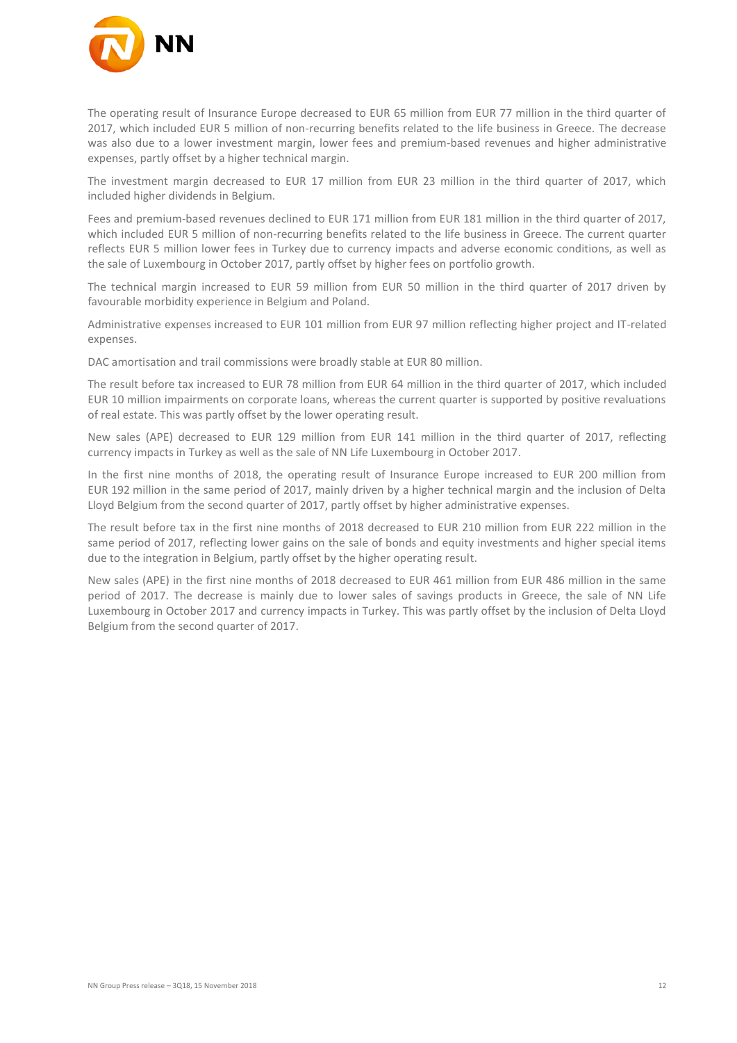

The operating result of Insurance Europe decreased to EUR 65 million from EUR 77 million in the third quarter of 2017, which included EUR 5 million of non-recurring benefits related to the life business in Greece. The decrease was also due to a lower investment margin, lower fees and premium-based revenues and higher administrative expenses, partly offset by a higher technical margin.

The investment margin decreased to EUR 17 million from EUR 23 million in the third quarter of 2017, which included higher dividends in Belgium.

Fees and premium-based revenues declined to EUR 171 million from EUR 181 million in the third quarter of 2017, which included EUR 5 million of non-recurring benefits related to the life business in Greece. The current quarter reflects EUR 5 million lower fees in Turkey due to currency impacts and adverse economic conditions, as well as the sale of Luxembourg in October 2017, partly offset by higher fees on portfolio growth.

The technical margin increased to EUR 59 million from EUR 50 million in the third quarter of 2017 driven by favourable morbidity experience in Belgium and Poland.

Administrative expenses increased to EUR 101 million from EUR 97 million reflecting higher project and IT-related expenses.

DAC amortisation and trail commissions were broadly stable at EUR 80 million.

The result before tax increased to EUR 78 million from EUR 64 million in the third quarter of 2017, which included EUR 10 million impairments on corporate loans, whereas the current quarter is supported by positive revaluations of real estate. This was partly offset by the lower operating result.

New sales (APE) decreased to EUR 129 million from EUR 141 million in the third quarter of 2017, reflecting currency impacts in Turkey as well as the sale of NN Life Luxembourg in October 2017.

In the first nine months of 2018, the operating result of Insurance Europe increased to EUR 200 million from EUR 192 million in the same period of 2017, mainly driven by a higher technical margin and the inclusion of Delta Lloyd Belgium from the second quarter of 2017, partly offset by higher administrative expenses.

The result before tax in the first nine months of 2018 decreased to EUR 210 million from EUR 222 million in the same period of 2017, reflecting lower gains on the sale of bonds and equity investments and higher special items due to the integration in Belgium, partly offset by the higher operating result.

New sales (APE) in the first nine months of 2018 decreased to EUR 461 million from EUR 486 million in the same period of 2017. The decrease is mainly due to lower sales of savings products in Greece, the sale of NN Life Luxembourg in October 2017 and currency impacts in Turkey. This was partly offset by the inclusion of Delta Lloyd Belgium from the second quarter of 2017.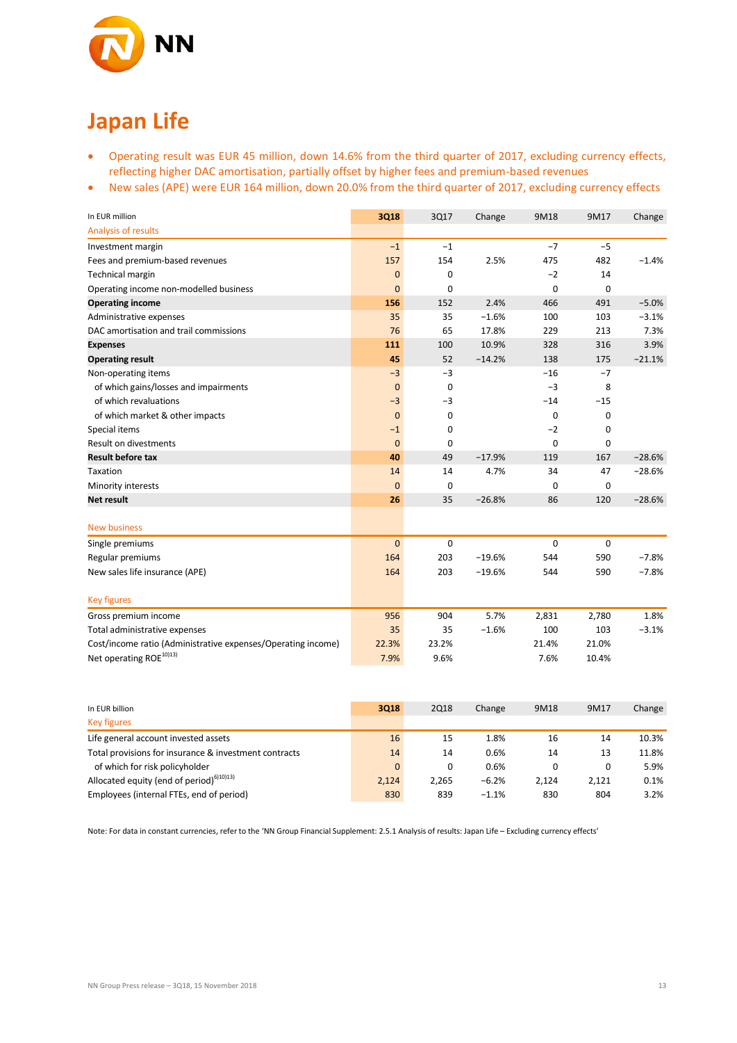

# **Japan Life**

- Operating result was EUR 45 million, down 14.6% from the third quarter of 2017, excluding currency effects, reflecting higher DAC amortisation, partially offset by higher fees and premium-based revenues
- New sales (APE) were EUR 164 million, down 20.0% from the third quarter of 2017, excluding currency effects

| In EUR million                                               | 3Q18           | 3Q17        | Change   | 9M18        | 9M17        | Change   |
|--------------------------------------------------------------|----------------|-------------|----------|-------------|-------------|----------|
| Analysis of results                                          |                |             |          |             |             |          |
| Investment margin                                            | $-1$           | $-1$        |          | $-7$        | $-5$        |          |
| Fees and premium-based revenues                              | 157            | 154         | 2.5%     | 475         | 482         | $-1.4%$  |
| Technical margin                                             | $\mathbf 0$    | 0           |          | $-2$        | 14          |          |
| Operating income non-modelled business                       | 0              | 0           |          | $\mathbf 0$ | $\mathbf 0$ |          |
| <b>Operating income</b>                                      | 156            | 152         | 2.4%     | 466         | 491         | $-5.0%$  |
| Administrative expenses                                      | 35             | 35          | $-1.6%$  | 100         | 103         | $-3.1%$  |
| DAC amortisation and trail commissions                       | 76             | 65          | 17.8%    | 229         | 213         | 7.3%     |
| <b>Expenses</b>                                              | 111            | 100         | 10.9%    | 328         | 316         | 3.9%     |
| <b>Operating result</b>                                      | 45             | 52          | $-14.2%$ | 138         | 175         | $-21.1%$ |
| Non-operating items                                          | $-3$           | $-3$        |          | $-16$       | $-7$        |          |
| of which gains/losses and impairments                        | $\mathbf{0}$   | $\mathbf 0$ |          | $-3$        | 8           |          |
| of which revaluations                                        | $-3$           | $-3$        |          | $-14$       | $-15$       |          |
| of which market & other impacts                              | $\mathbf 0$    | 0           |          | $\mathbf 0$ | $\mathbf 0$ |          |
| Special items                                                | $-1$           | 0           |          | $-2$        | 0           |          |
| Result on divestments                                        | $\mathbf{0}$   | 0           |          | 0           | $\mathbf 0$ |          |
| <b>Result before tax</b>                                     | 40             | 49          | $-17.9%$ | 119         | 167         | $-28.6%$ |
| Taxation                                                     | 14             | 14          | 4.7%     | 34          | 47          | $-28.6%$ |
| Minority interests                                           | $\overline{0}$ | 0           |          | $\mathbf 0$ | $\mathbf 0$ |          |
| Net result                                                   | 26             | 35          | $-26.8%$ | 86          | 120         | $-28.6%$ |
|                                                              |                |             |          |             |             |          |
| <b>New business</b>                                          |                |             |          |             |             |          |
| Single premiums                                              | $\mathbf 0$    | 0           |          | $\mathbf 0$ | 0           |          |
| Regular premiums                                             | 164            | 203         | $-19.6%$ | 544         | 590         | $-7.8%$  |
| New sales life insurance (APE)                               | 164            | 203         | $-19.6%$ | 544         | 590         | $-7.8%$  |
|                                                              |                |             |          |             |             |          |
| <b>Key figures</b>                                           |                |             |          |             |             |          |
| Gross premium income                                         | 956            | 904         | 5.7%     | 2,831       | 2,780       | 1.8%     |
| Total administrative expenses                                | 35             | 35          | $-1.6%$  | 100         | 103         | $-3.1%$  |
| Cost/income ratio (Administrative expenses/Operating income) | 22.3%          | 23.2%       |          | 21.4%       | 21.0%       |          |
| Net operating ROE <sup>10)13)</sup>                          | 7.9%           | 9.6%        |          | 7.6%        | 10.4%       |          |

| In EUR billion                                        | 3018     | <b>2Q18</b> | Change  | 9M18  | 9M17  | Change |
|-------------------------------------------------------|----------|-------------|---------|-------|-------|--------|
| <b>Key figures</b>                                    |          |             |         |       |       |        |
| Life general account invested assets                  | 16       | 15          | 1.8%    | 16    | 14    | 10.3%  |
| Total provisions for insurance & investment contracts | 14       | 14          | 0.6%    | 14    | 13    | 11.8%  |
| of which for risk policyholder                        | $\Omega$ | 0           | 0.6%    | 0     | 0     | 5.9%   |
| Allocated equity (end of period) <sup>6)10)13)</sup>  | 2.124    | 2.265       | $-6.2%$ | 2.124 | 2.121 | 0.1%   |
| Employees (internal FTEs, end of period)              | 830      | 839         | $-1.1%$ | 830   | 804   | 3.2%   |

Note: For data in constant currencies, refer to the 'NN Group Financial Supplement: 2.5.1 Analysis of results: Japan Life – Excluding currency effects'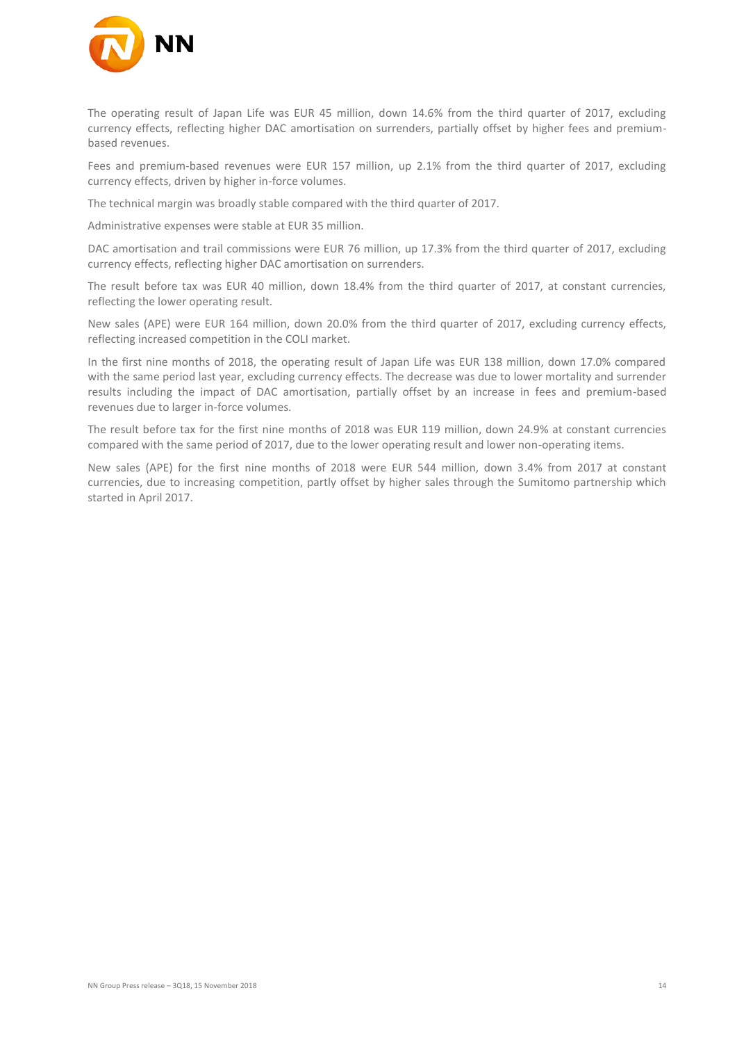

The operating result of Japan Life was EUR 45 million, down 14.6% from the third quarter of 2017, excluding currency effects, reflecting higher DAC amortisation on surrenders, partially offset by higher fees and premiumbased revenues.

Fees and premium-based revenues were EUR 157 million, up 2.1% from the third quarter of 2017, excluding currency effects, driven by higher in-force volumes.

The technical margin was broadly stable compared with the third quarter of 2017.

Administrative expenses were stable at EUR 35 million.

DAC amortisation and trail commissions were EUR 76 million, up 17.3% from the third quarter of 2017, excluding currency effects, reflecting higher DAC amortisation on surrenders.

The result before tax was EUR 40 million, down 18.4% from the third quarter of 2017, at constant currencies, reflecting the lower operating result.

New sales (APE) were EUR 164 million, down 20.0% from the third quarter of 2017, excluding currency effects, reflecting increased competition in the COLI market.

In the first nine months of 2018, the operating result of Japan Life was EUR 138 million, down 17.0% compared with the same period last year, excluding currency effects. The decrease was due to lower mortality and surrender results including the impact of DAC amortisation, partially offset by an increase in fees and premium-based revenues due to larger in-force volumes.

The result before tax for the first nine months of 2018 was EUR 119 million, down 24.9% at constant currencies compared with the same period of 2017, due to the lower operating result and lower non-operating items.

New sales (APE) for the first nine months of 2018 were EUR 544 million, down 3.4% from 2017 at constant currencies, due to increasing competition, partly offset by higher sales through the Sumitomo partnership which started in April 2017.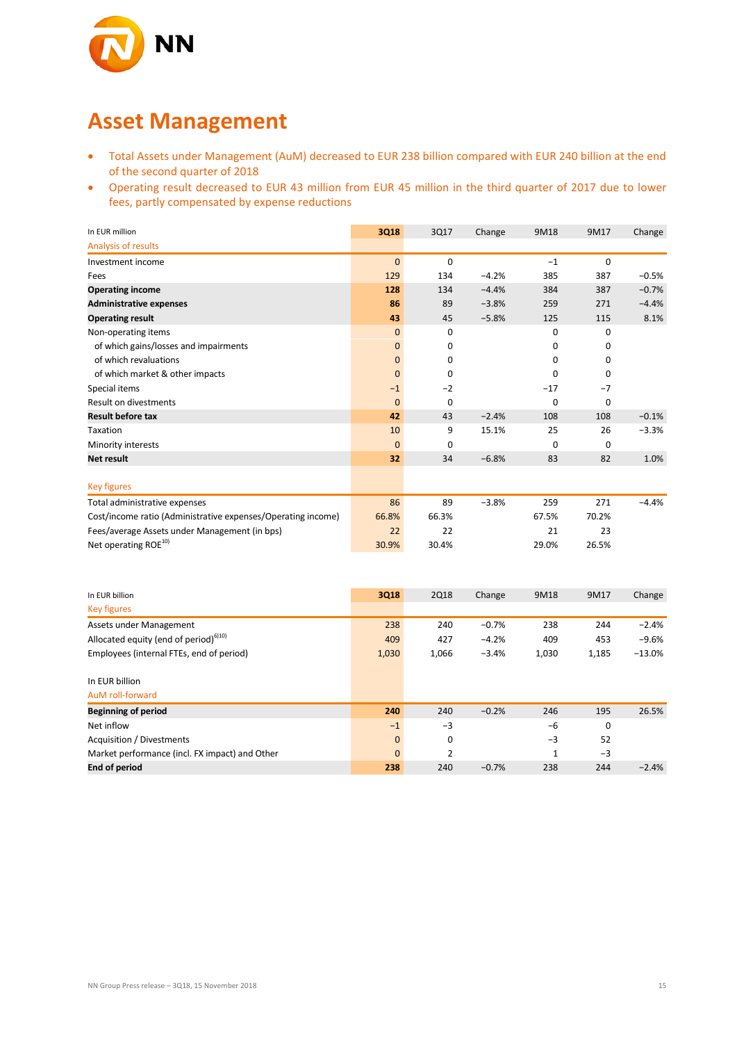

## **Asset Management**

- Total Assets under Management (AuM) decreased to EUR 238 billion compared with EUR 240 billion at the end of the second quarter of 2018
- Operating result decreased to EUR 43 million from EUR 45 million in the third quarter of 2017 due to lower fees, partly compensated by expense reductions

| In EUR million                                               | 3Q18         | 3Q17        | Change  | 9M18        | 9M17        | Change  |
|--------------------------------------------------------------|--------------|-------------|---------|-------------|-------------|---------|
| Analysis of results                                          |              |             |         |             |             |         |
| Investment income                                            | $\mathbf{0}$ | $\mathbf 0$ |         | $-1$        | $\mathbf 0$ |         |
| Fees                                                         | 129          | 134         | $-4.2%$ | 385         | 387         | $-0.5%$ |
| <b>Operating income</b>                                      | 128          | 134         | $-4.4%$ | 384         | 387         | $-0.7%$ |
| <b>Administrative expenses</b>                               | 86           | 89          | $-3.8%$ | 259         | 271         | $-4.4%$ |
| <b>Operating result</b>                                      | 43           | 45          | $-5.8%$ | 125         | 115         | 8.1%    |
| Non-operating items                                          | $\mathbf{0}$ | $\Omega$    |         | $\Omega$    | $\Omega$    |         |
| of which gains/losses and impairments                        | $\mathbf{0}$ | 0           |         | 0           | 0           |         |
| of which revaluations                                        | $\mathbf{0}$ | $\Omega$    |         | 0           | 0           |         |
| of which market & other impacts                              | $\mathbf{0}$ | $\Omega$    |         | $\mathbf 0$ | 0           |         |
| Special items                                                | $-1$         | $-2$        |         | $-17$       | $-7$        |         |
| Result on divestments                                        | $\mathbf{0}$ | $\mathbf 0$ |         | $\mathbf 0$ | 0           |         |
| <b>Result before tax</b>                                     | 42           | 43          | $-2.4%$ | 108         | 108         | $-0.1%$ |
| Taxation                                                     | 10           | 9           | 15.1%   | 25          | 26          | $-3.3%$ |
| Minority interests                                           | $\mathbf{0}$ | 0           |         | $\mathbf 0$ | 0           |         |
| <b>Net result</b>                                            | 32           | 34          | $-6.8%$ | 83          | 82          | 1.0%    |
|                                                              |              |             |         |             |             |         |
| <b>Key figures</b>                                           |              |             |         |             |             |         |
| Total administrative expenses                                | 86           | 89          | $-3.8%$ | 259         | 271         | $-4.4%$ |
| Cost/income ratio (Administrative expenses/Operating income) | 66.8%        | 66.3%       |         | 67.5%       | 70.2%       |         |
| Fees/average Assets under Management (in bps)                | 22           | 22          |         | 21          | 23          |         |
| Net operating ROE <sup>10)</sup>                             | 30.9%        | 30.4%       |         | 29.0%       | 26.5%       |         |

| In EUR billion                                    | 3Q18         | <b>2Q18</b>    | Change  | 9M18  | 9M17        | Change   |
|---------------------------------------------------|--------------|----------------|---------|-------|-------------|----------|
|                                                   |              |                |         |       |             |          |
| <b>Key figures</b>                                |              |                |         |       |             |          |
| Assets under Management                           | 238          | 240            | $-0.7%$ | 238   | 244         | $-2.4%$  |
| Allocated equity (end of period) <sup>6)10)</sup> | 409          | 427            | $-4.2%$ | 409   | 453         | $-9.6%$  |
| Employees (internal FTEs, end of period)          | 1,030        | 1,066          | $-3.4%$ | 1,030 | 1,185       | $-13.0%$ |
| In EUR billion                                    |              |                |         |       |             |          |
| AuM roll-forward                                  |              |                |         |       |             |          |
| <b>Beginning of period</b>                        | 240          | 240            | $-0.2%$ | 246   | 195         | 26.5%    |
| Net inflow                                        | $-1$         | $-3$           |         | $-6$  | $\mathbf 0$ |          |
| Acquisition / Divestments                         | $\mathbf{0}$ | 0              |         | $-3$  | 52          |          |
| Market performance (incl. FX impact) and Other    | $\mathbf{0}$ | $\overline{2}$ |         | 1     | $-3$        |          |
| <b>End of period</b>                              | 238          | 240            | $-0.7%$ | 238   | 244         | $-2.4%$  |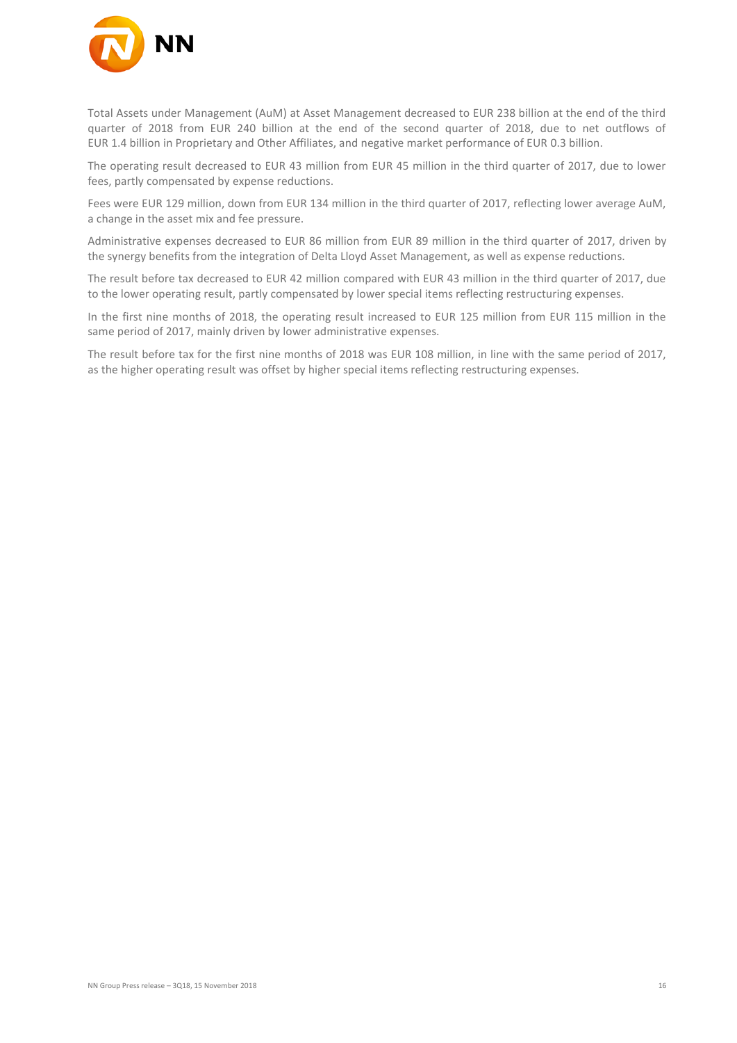

Total Assets under Management (AuM) at Asset Management decreased to EUR 238 billion at the end of the third quarter of 2018 from EUR 240 billion at the end of the second quarter of 2018, due to net outflows of EUR 1.4 billion in Proprietary and Other Affiliates, and negative market performance of EUR 0.3 billion.

The operating result decreased to EUR 43 million from EUR 45 million in the third quarter of 2017, due to lower fees, partly compensated by expense reductions.

Fees were EUR 129 million, down from EUR 134 million in the third quarter of 2017, reflecting lower average AuM, a change in the asset mix and fee pressure.

Administrative expenses decreased to EUR 86 million from EUR 89 million in the third quarter of 2017, driven by the synergy benefits from the integration of Delta Lloyd Asset Management, as well as expense reductions.

The result before tax decreased to EUR 42 million compared with EUR 43 million in the third quarter of 2017, due to the lower operating result, partly compensated by lower special items reflecting restructuring expenses.

In the first nine months of 2018, the operating result increased to EUR 125 million from EUR 115 million in the same period of 2017, mainly driven by lower administrative expenses.

The result before tax for the first nine months of 2018 was EUR 108 million, in line with the same period of 2017, as the higher operating result was offset by higher special items reflecting restructuring expenses.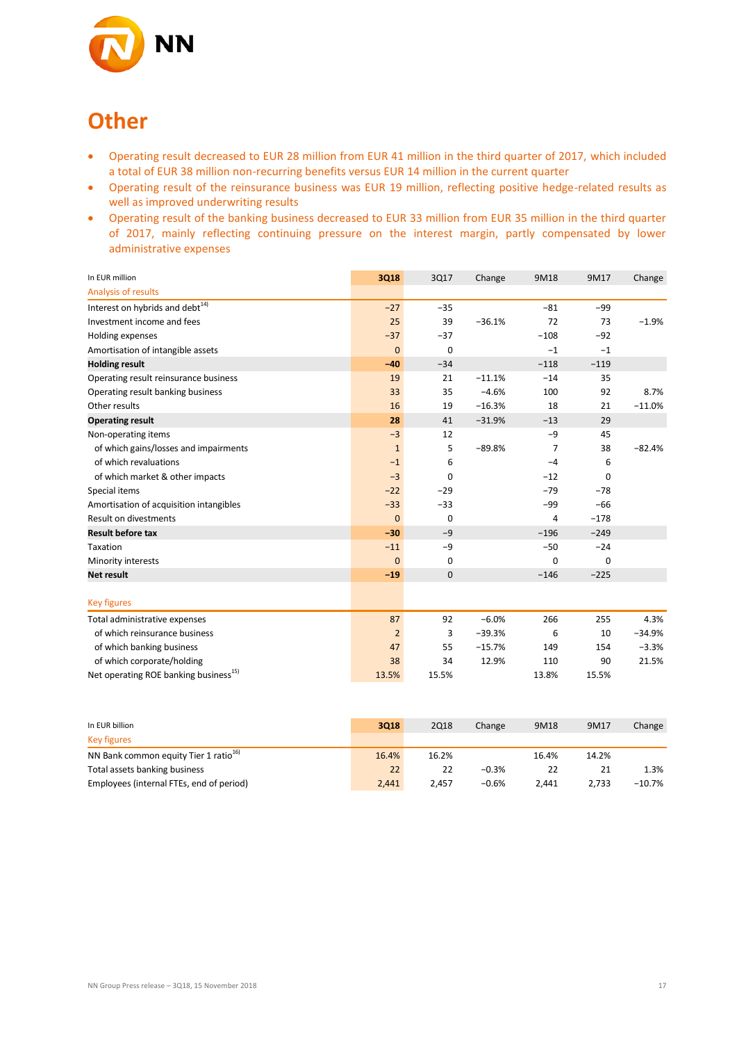

## **Other**

- Operating result decreased to EUR 28 million from EUR 41 million in the third quarter of 2017, which included a total of EUR 38 million non-recurring benefits versus EUR 14 million in the current quarter
- Operating result of the reinsurance business was EUR 19 million, reflecting positive hedge-related results as well as improved underwriting results
- Operating result of the banking business decreased to EUR 33 million from EUR 35 million in the third quarter of 2017, mainly reflecting continuing pressure on the interest margin, partly compensated by lower administrative expenses

| In EUR million                                    | <b>3Q18</b>    | 3Q17        | Change   | 9M18   | 9M17        | Change   |
|---------------------------------------------------|----------------|-------------|----------|--------|-------------|----------|
| Analysis of results                               |                |             |          |        |             |          |
| Interest on hybrids and debt $^{14)}$             | $-27$          | $-35$       |          | $-81$  | -99         |          |
| Investment income and fees                        | 25             | 39          | $-36.1%$ | 72     | 73          | $-1.9%$  |
| Holding expenses                                  | $-37$          | $-37$       |          | $-108$ | $-92$       |          |
| Amortisation of intangible assets                 | $\mathbf{0}$   | $\mathbf 0$ |          | $-1$   | $-1$        |          |
| <b>Holding result</b>                             | $-40$          | $-34$       |          | $-118$ | $-119$      |          |
| Operating result reinsurance business             | 19             | 21          | $-11.1%$ | $-14$  | 35          |          |
| Operating result banking business                 | 33             | 35          | $-4.6%$  | 100    | 92          | 8.7%     |
| Other results                                     | 16             | 19          | $-16.3%$ | 18     | 21          | $-11.0%$ |
| <b>Operating result</b>                           | 28             | 41          | $-31.9%$ | $-13$  | 29          |          |
| Non-operating items                               | $-3$           | 12          |          | $-9$   | 45          |          |
| of which gains/losses and impairments             | $\mathbf{1}$   | 5           | $-89.8%$ | 7      | 38          | $-82.4%$ |
| of which revaluations                             | $-1$           | 6           |          | $-4$   | 6           |          |
| of which market & other impacts                   | $-3$           | $\Omega$    |          | $-12$  | $\Omega$    |          |
| Special items                                     | $-22$          | $-29$       |          | $-79$  | $-78$       |          |
| Amortisation of acquisition intangibles           | $-33$          | $-33$       |          | $-99$  | $-66$       |          |
| <b>Result on divestments</b>                      | $\mathbf{0}$   | $\mathbf 0$ |          | 4      | $-178$      |          |
| <b>Result before tax</b>                          | $-30$          | $-9$        |          | $-196$ | $-249$      |          |
| Taxation                                          | $-11$          | $-9$        |          | $-50$  | $-24$       |          |
| Minority interests                                | $\mathbf{0}$   | 0           |          | 0      | $\mathbf 0$ |          |
| Net result                                        | $-19$          | $\mathbf 0$ |          | $-146$ | $-225$      |          |
|                                                   |                |             |          |        |             |          |
| <b>Key figures</b>                                |                |             |          |        |             |          |
| Total administrative expenses                     | 87             | 92          | $-6.0%$  | 266    | 255         | 4.3%     |
| of which reinsurance business                     | $\overline{2}$ | 3           | $-39.3%$ | 6      | 10          | $-34.9%$ |
| of which banking business                         | 47             | 55          | $-15.7%$ | 149    | 154         | $-3.3%$  |
| of which corporate/holding                        | 38             | 34          | 12.9%    | 110    | 90          | 21.5%    |
| Net operating ROE banking business <sup>15)</sup> | 13.5%          | 15.5%       |          | 13.8%  | 15.5%       |          |

| In EUR billion                                    | 3018  | <b>2Q18</b> | Change  | 9M18  | 9M17  | Change    |
|---------------------------------------------------|-------|-------------|---------|-------|-------|-----------|
| Key figures                                       |       |             |         |       |       |           |
| NN Bank common equity Tier 1 ratio <sup>16)</sup> | 16.4% | 16.2%       |         | 16.4% | 14.2% |           |
| Total assets banking business                     | 22    | 22          | $-0.3%$ | 22    |       | 1.3%      |
| Employees (internal FTEs, end of period)          | 2.441 | 2.457       | $-0.6%$ | 2.441 | 2.733 | $-10.7\%$ |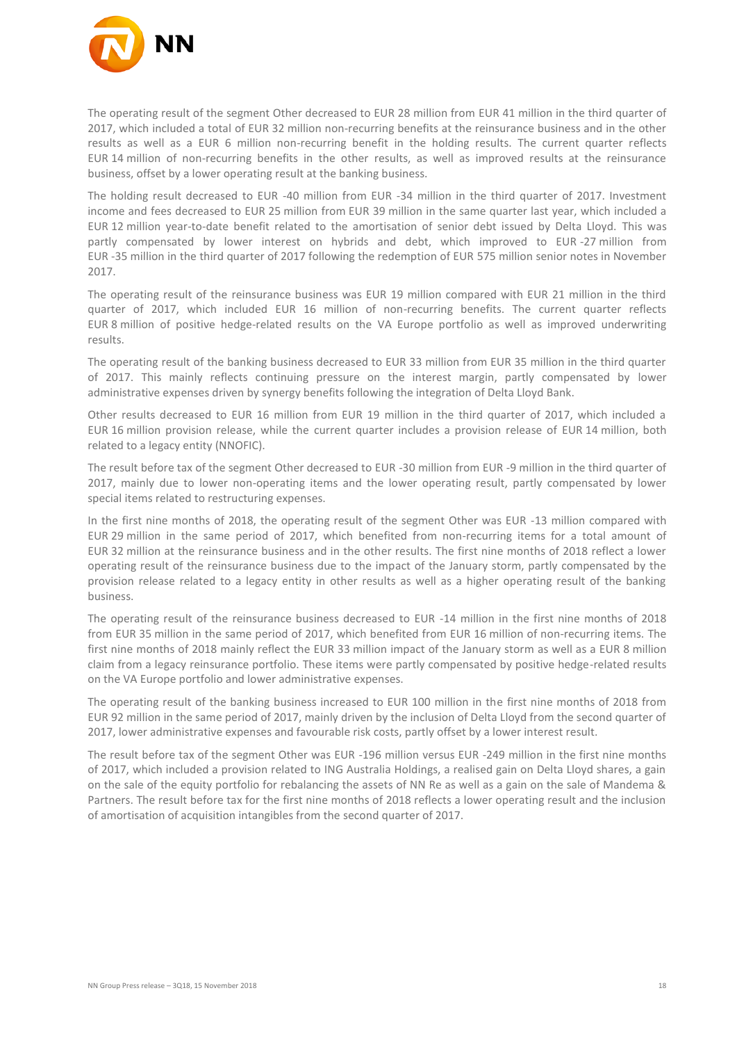

The operating result of the segment Other decreased to EUR 28 million from EUR 41 million in the third quarter of 2017, which included a total of EUR 32 million non-recurring benefits at the reinsurance business and in the other results as well as a EUR 6 million non-recurring benefit in the holding results. The current quarter reflects EUR 14 million of non-recurring benefits in the other results, as well as improved results at the reinsurance business, offset by a lower operating result at the banking business.

The holding result decreased to EUR -40 million from EUR -34 million in the third quarter of 2017. Investment income and fees decreased to EUR 25 million from EUR 39 million in the same quarter last year, which included a EUR 12 million year-to-date benefit related to the amortisation of senior debt issued by Delta Lloyd. This was partly compensated by lower interest on hybrids and debt, which improved to EUR -27 million from EUR -35 million in the third quarter of 2017 following the redemption of EUR 575 million senior notes in November 2017.

The operating result of the reinsurance business was EUR 19 million compared with EUR 21 million in the third quarter of 2017, which included EUR 16 million of non-recurring benefits. The current quarter reflects EUR 8 million of positive hedge-related results on the VA Europe portfolio as well as improved underwriting results.

The operating result of the banking business decreased to EUR 33 million from EUR 35 million in the third quarter of 2017. This mainly reflects continuing pressure on the interest margin, partly compensated by lower administrative expenses driven by synergy benefits following the integration of Delta Lloyd Bank.

Other results decreased to EUR 16 million from EUR 19 million in the third quarter of 2017, which included a EUR 16 million provision release, while the current quarter includes a provision release of EUR 14 million, both related to a legacy entity (NNOFIC).

The result before tax of the segment Other decreased to EUR -30 million from EUR -9 million in the third quarter of 2017, mainly due to lower non-operating items and the lower operating result, partly compensated by lower special items related to restructuring expenses.

In the first nine months of 2018, the operating result of the segment Other was EUR -13 million compared with EUR 29 million in the same period of 2017, which benefited from non-recurring items for a total amount of EUR 32 million at the reinsurance business and in the other results. The first nine months of 2018 reflect a lower operating result of the reinsurance business due to the impact of the January storm, partly compensated by the provision release related to a legacy entity in other results as well as a higher operating result of the banking business.

The operating result of the reinsurance business decreased to EUR -14 million in the first nine months of 2018 from EUR 35 million in the same period of 2017, which benefited from EUR 16 million of non-recurring items. The first nine months of 2018 mainly reflect the EUR 33 million impact of the January storm as well as a EUR 8 million claim from a legacy reinsurance portfolio. These items were partly compensated by positive hedge-related results on the VA Europe portfolio and lower administrative expenses.

The operating result of the banking business increased to EUR 100 million in the first nine months of 2018 from EUR 92 million in the same period of 2017, mainly driven by the inclusion of Delta Lloyd from the second quarter of 2017, lower administrative expenses and favourable risk costs, partly offset by a lower interest result.

The result before tax of the segment Other was EUR -196 million versus EUR -249 million in the first nine months of 2017, which included a provision related to ING Australia Holdings, a realised gain on Delta Lloyd shares, a gain on the sale of the equity portfolio for rebalancing the assets of NN Re as well as a gain on the sale of Mandema & Partners. The result before tax for the first nine months of 2018 reflects a lower operating result and the inclusion of amortisation of acquisition intangibles from the second quarter of 2017.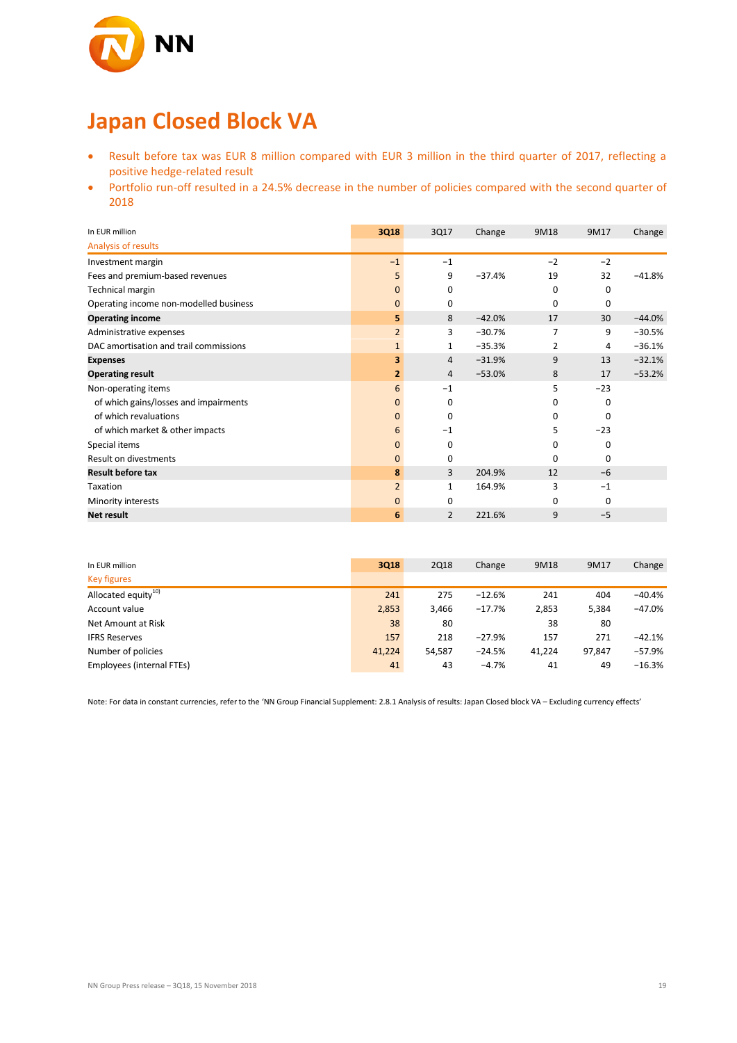

# **Japan Closed Block VA**

- Result before tax was EUR 8 million compared with EUR 3 million in the third quarter of 2017, reflecting a positive hedge-related result
- Portfolio run-off resulted in a 24.5% decrease in the number of policies compared with the second quarter of 2018

| In EUR million                         | 3Q18           | 3Q17     | Change   | 9M18     | 9M17     | Change   |
|----------------------------------------|----------------|----------|----------|----------|----------|----------|
| Analysis of results                    |                |          |          |          |          |          |
| Investment margin                      | $-1$           | $-1$     |          | $-2$     | $-2$     |          |
| Fees and premium-based revenues        | 5              | 9        | $-37.4%$ | 19       | 32       | $-41.8%$ |
| Technical margin                       | $\mathbf{0}$   | 0        |          | 0        | $\Omega$ |          |
| Operating income non-modelled business | $\mathbf{0}$   | 0        |          | 0        | 0        |          |
| <b>Operating income</b>                | 5              | 8        | $-42.0%$ | 17       | 30       | $-44.0%$ |
| Administrative expenses                | $\overline{2}$ | 3        | $-30.7%$ | 7        | 9        | $-30.5%$ |
| DAC amortisation and trail commissions | $\mathbf{1}$   | 1        | $-35.3%$ | 2        | 4        | $-36.1%$ |
| <b>Expenses</b>                        | 3              | 4        | $-31.9%$ | 9        | 13       | $-32.1%$ |
| <b>Operating result</b>                | 2              | 4        | $-53.0%$ | 8        | 17       | $-53.2%$ |
| Non-operating items                    | 6              | $-1$     |          | 5        | $-23$    |          |
| of which gains/losses and impairments  | $\mathbf{0}$   | $\Omega$ |          | 0        | $\Omega$ |          |
| of which revaluations                  | 0              | 0        |          | 0        | 0        |          |
| of which market & other impacts        | 6              | $-1$     |          | 5        | $-23$    |          |
| Special items                          | $\mathbf{0}$   | 0        |          | 0        | O        |          |
| Result on divestments                  | $\mathbf{0}$   | 0        |          | $\Omega$ | 0        |          |
| <b>Result before tax</b>               | 8              | 3        | 204.9%   | 12       | $-6$     |          |
| Taxation                               | $\overline{2}$ | 1        | 164.9%   | 3        | $-1$     |          |
| Minority interests                     | $\mathbf{0}$   | 0        |          | $\Omega$ | 0        |          |
| Net result                             | 6              | 2        | 221.6%   | 9        | $-5$     |          |

| In EUR million                  | 3Q18   | <b>2Q18</b> | Change   | 9M18   | 9M17   | Change   |
|---------------------------------|--------|-------------|----------|--------|--------|----------|
| <b>Key figures</b>              |        |             |          |        |        |          |
| Allocated equity <sup>10)</sup> | 241    | 275         | $-12.6%$ | 241    | 404    | $-40.4%$ |
| Account value                   | 2,853  | 3,466       | $-17.7%$ | 2,853  | 5,384  | $-47.0%$ |
| Net Amount at Risk              | 38     | 80          |          | 38     | 80     |          |
| <b>IFRS Reserves</b>            | 157    | 218         | $-27.9%$ | 157    | 271    | $-42.1%$ |
| Number of policies              | 41.224 | 54,587      | $-24.5%$ | 41.224 | 97.847 | $-57.9%$ |
| Employees (internal FTEs)       | 41     | 43          | $-4.7%$  | 41     | 49     | $-16.3%$ |

Note: For data in constant currencies, refer to the 'NN Group Financial Supplement: 2.8.1 Analysis of results: Japan Closed block VA – Excluding currency effects'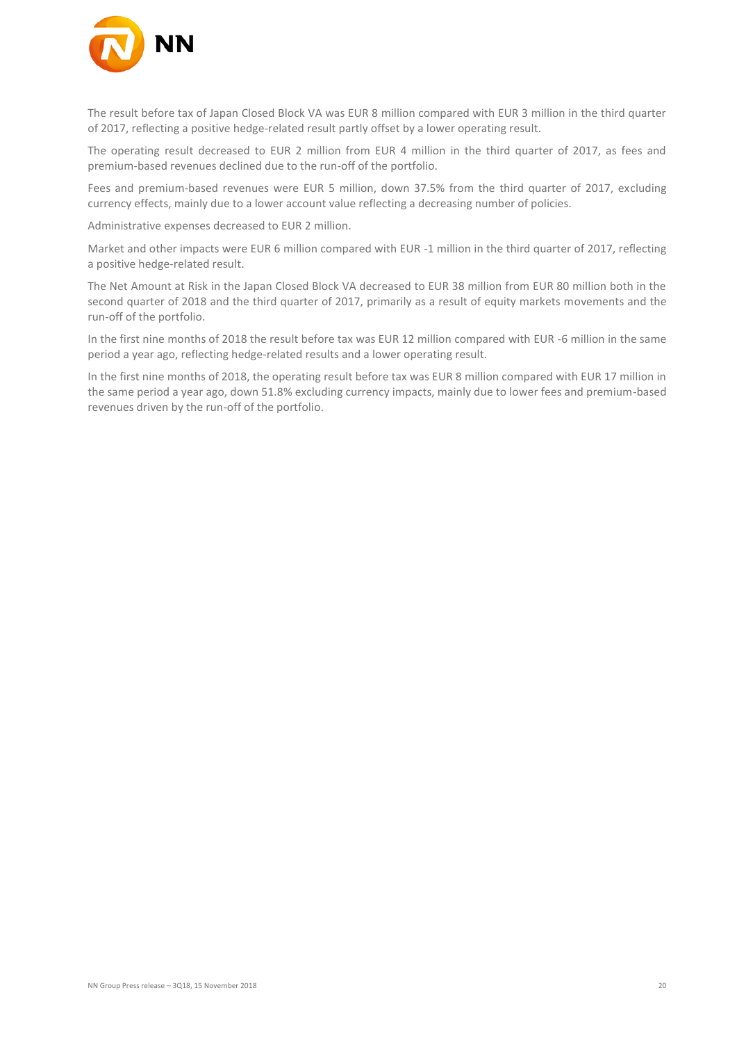

The result before tax of Japan Closed Block VA was EUR 8 million compared with EUR 3 million in the third quarter of 2017, reflecting a positive hedge-related result partly offset by a lower operating result.

The operating result decreased to EUR 2 million from EUR 4 million in the third quarter of 2017, as fees and premium-based revenues declined due to the run-off of the portfolio.

Fees and premium-based revenues were EUR 5 million, down 37.5% from the third quarter of 2017, excluding currency effects, mainly due to a lower account value reflecting a decreasing number of policies.

Administrative expenses decreased to EUR 2 million.

Market and other impacts were EUR 6 million compared with EUR -1 million in the third quarter of 2017, reflecting a positive hedge-related result.

The Net Amount at Risk in the Japan Closed Block VA decreased to EUR 38 million from EUR 80 million both in the second quarter of 2018 and the third quarter of 2017, primarily as a result of equity markets movements and the run-off of the portfolio.

In the first nine months of 2018 the result before tax was EUR 12 million compared with EUR -6 million in the same period a year ago, reflecting hedge-related results and a lower operating result.

In the first nine months of 2018, the operating result before tax was EUR 8 million compared with EUR 17 million in the same period a year ago, down 51.8% excluding currency impacts, mainly due to lower fees and premium-based revenues driven by the run-off of the portfolio.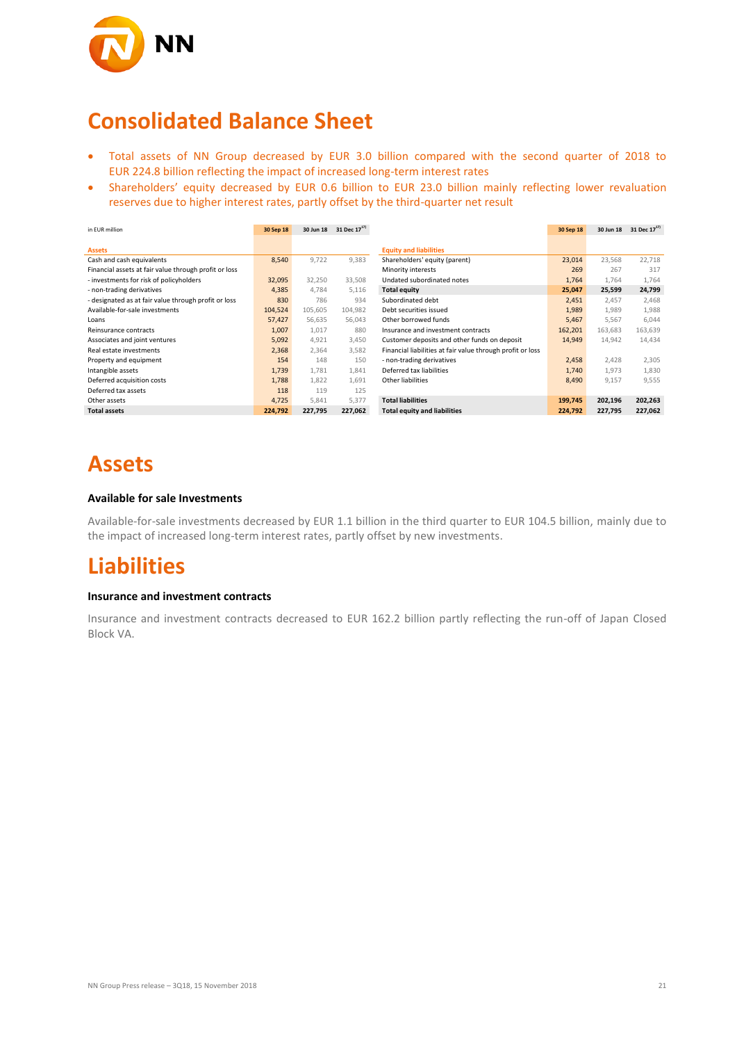

## **Consolidated Balance Sheet**

- Total assets of NN Group decreased by EUR 3.0 billion compared with the second quarter of 2018 to EUR 224.8 billion reflecting the impact of increased long-term interest rates
- Shareholders' equity decreased by EUR 0.6 billion to EUR 23.0 billion mainly reflecting lower revaluation reserves due to higher interest rates, partly offset by the third-quarter net result

| in EUR million                                        | 30 Sep 18 | 30 Jun 18 | 31 Dec 17 <sup>17</sup> |                                                            | 30 Sep 18 | 30 Jun 18 | 31 Dec 17 <sup>17)</sup> |
|-------------------------------------------------------|-----------|-----------|-------------------------|------------------------------------------------------------|-----------|-----------|--------------------------|
|                                                       |           |           |                         |                                                            |           |           |                          |
| <b>Assets</b>                                         |           |           |                         | <b>Equity and liabilities</b>                              |           |           |                          |
| Cash and cash equivalents                             | 8,540     | 9,722     | 9,383                   | Shareholders' equity (parent)                              | 23,014    | 23,568    | 22,718                   |
| Financial assets at fair value through profit or loss |           |           |                         | Minority interests                                         | 269       | 267       | 317                      |
| - investments for risk of policyholders               | 32,095    | 32,250    | 33,508                  | Undated subordinated notes                                 | 1,764     | 1.764     | 1,764                    |
| - non-trading derivatives                             | 4,385     | 4.784     | 5,116                   | <b>Total equity</b>                                        | 25,047    | 25,599    | 24,799                   |
| - designated as at fair value through profit or loss  | 830       | 786       | 934                     | Subordinated debt                                          | 2,451     | 2.457     | 2,468                    |
| Available-for-sale investments                        | 104,524   | 105,605   | 104,982                 | Debt securities issued                                     | 1,989     | 1,989     | 1,988                    |
| Loans                                                 | 57,427    | 56,635    | 56,043                  | Other borrowed funds                                       | 5,467     | 5,567     | 6,044                    |
| Reinsurance contracts                                 | 1,007     | 1,017     | 880                     | Insurance and investment contracts                         | 162,201   | 163,683   | 163,639                  |
| Associates and joint ventures                         | 5,092     | 4,921     | 3,450                   | Customer deposits and other funds on deposit               | 14,949    | 14,942    | 14,434                   |
| Real estate investments                               | 2,368     | 2,364     | 3,582                   | Financial liabilities at fair value through profit or loss |           |           |                          |
| Property and equipment                                | 154       | 148       | 150                     | - non-trading derivatives                                  | 2,458     | 2,428     | 2,305                    |
| Intangible assets                                     | 1,739     | 1,781     | 1,841                   | Deferred tax liabilities                                   | 1,740     | 1,973     | 1,830                    |
| Deferred acquisition costs                            | 1,788     | 1,822     | 1,691                   | Other liabilities                                          | 8,490     | 9,157     | 9,555                    |
| Deferred tax assets                                   | 118       | 119       | 125                     |                                                            |           |           |                          |
| Other assets                                          | 4,725     | 5,841     | 5,377                   | <b>Total liabilities</b>                                   | 199,745   | 202,196   | 202,263                  |
| <b>Total assets</b>                                   | 224,792   | 227,795   | 227,062                 | <b>Total equity and liabilities</b>                        | 224,792   | 227,795   | 227,062                  |

### **Assets**

### **Available for sale Investments**

Available-for-sale investments decreased by EUR 1.1 billion in the third quarter to EUR 104.5 billion, mainly due to the impact of increased long-term interest rates, partly offset by new investments.

### **Liabilities**

#### **Insurance and investment contracts**

Insurance and investment contracts decreased to EUR 162.2 billion partly reflecting the run-off of Japan Closed Block VA.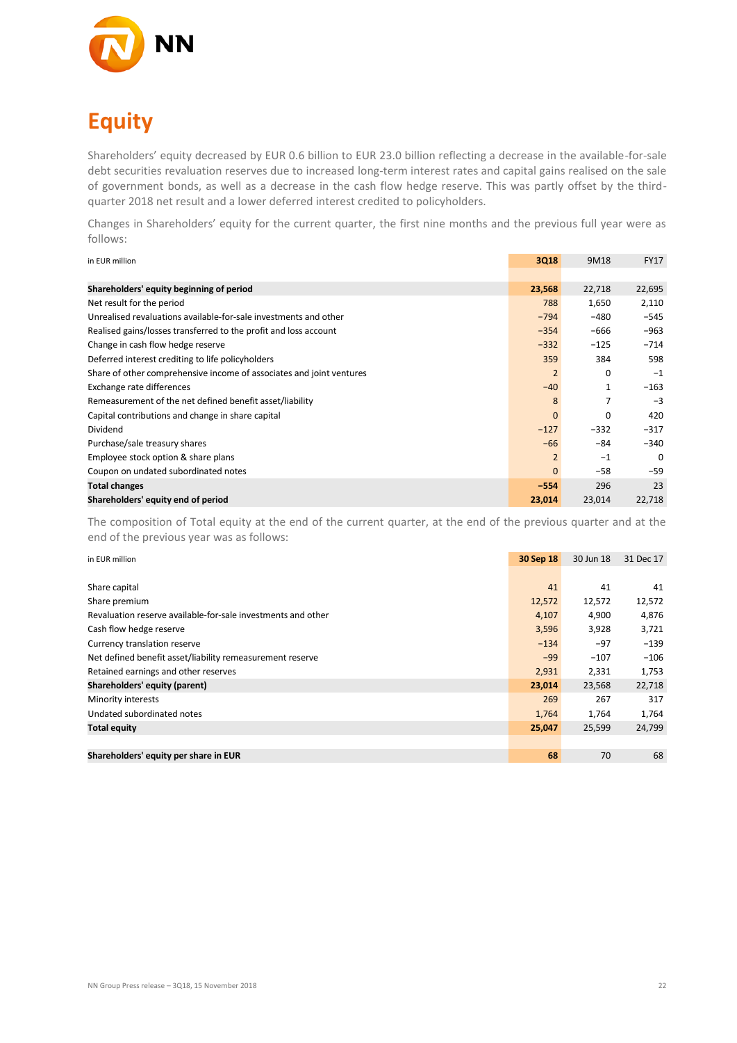

# **Equity**

Shareholders' equity decreased by EUR 0.6 billion to EUR 23.0 billion reflecting a decrease in the available-for-sale debt securities revaluation reserves due to increased long-term interest rates and capital gains realised on the sale of government bonds, as well as a decrease in the cash flow hedge reserve. This was partly offset by the thirdquarter 2018 net result and a lower deferred interest credited to policyholders.

Changes in Shareholders' equity for the current quarter, the first nine months and the previous full year were as follows:

| in EUR million                                                       | 3Q18           | 9M18     | <b>FY17</b> |
|----------------------------------------------------------------------|----------------|----------|-------------|
|                                                                      |                |          |             |
| Shareholders' equity beginning of period                             | 23,568         | 22,718   | 22,695      |
| Net result for the period                                            | 788            | 1,650    | 2,110       |
| Unrealised revaluations available-for-sale investments and other     | $-794$         | $-480$   | $-545$      |
| Realised gains/losses transferred to the profit and loss account     | $-354$         | -666     | $-963$      |
| Change in cash flow hedge reserve                                    | $-332$         | $-125$   | $-714$      |
| Deferred interest crediting to life policyholders                    | 359            | 384      | 598         |
| Share of other comprehensive income of associates and joint ventures | $\overline{2}$ | 0        | $-1$        |
| Exchange rate differences                                            | $-40$          |          | $-163$      |
| Remeasurement of the net defined benefit asset/liability             | 8              |          | $-3$        |
| Capital contributions and change in share capital                    | $\mathbf{0}$   | $\Omega$ | 420         |
| Dividend                                                             | $-127$         | $-332$   | $-317$      |
| Purchase/sale treasury shares                                        | $-66$          | $-84$    | $-340$      |
| Employee stock option & share plans                                  | $\overline{2}$ | $-1$     | $\Omega$    |
| Coupon on undated subordinated notes                                 | $\mathbf{0}$   | $-58$    | $-59$       |
| <b>Total changes</b>                                                 | $-554$         | 296      | 23          |
| Shareholders' equity end of period                                   | 23,014         | 23,014   | 22,718      |

The composition of Total equity at the end of the current quarter, at the end of the previous quarter and at the end of the previous year was as follows:

| in EUR million                                               | 30 Sep 18 | 30 Jun 18 | 31 Dec 17 |
|--------------------------------------------------------------|-----------|-----------|-----------|
|                                                              |           |           |           |
| Share capital                                                | 41        | 41        | 41        |
| Share premium                                                | 12,572    | 12,572    | 12,572    |
| Revaluation reserve available-for-sale investments and other | 4,107     | 4,900     | 4,876     |
| Cash flow hedge reserve                                      | 3,596     | 3,928     | 3,721     |
| Currency translation reserve                                 | $-134$    | $-97$     | $-139$    |
| Net defined benefit asset/liability remeasurement reserve    | $-99$     | $-107$    | $-106$    |
| Retained earnings and other reserves                         | 2,931     | 2,331     | 1,753     |
| Shareholders' equity (parent)                                | 23,014    | 23,568    | 22,718    |
| Minority interests                                           | 269       | 267       | 317       |
| Undated subordinated notes                                   | 1,764     | 1,764     | 1,764     |
| <b>Total equity</b>                                          | 25,047    | 25,599    | 24,799    |
|                                                              |           |           |           |
| Shareholders' equity per share in EUR                        | 68        | 70        | 68        |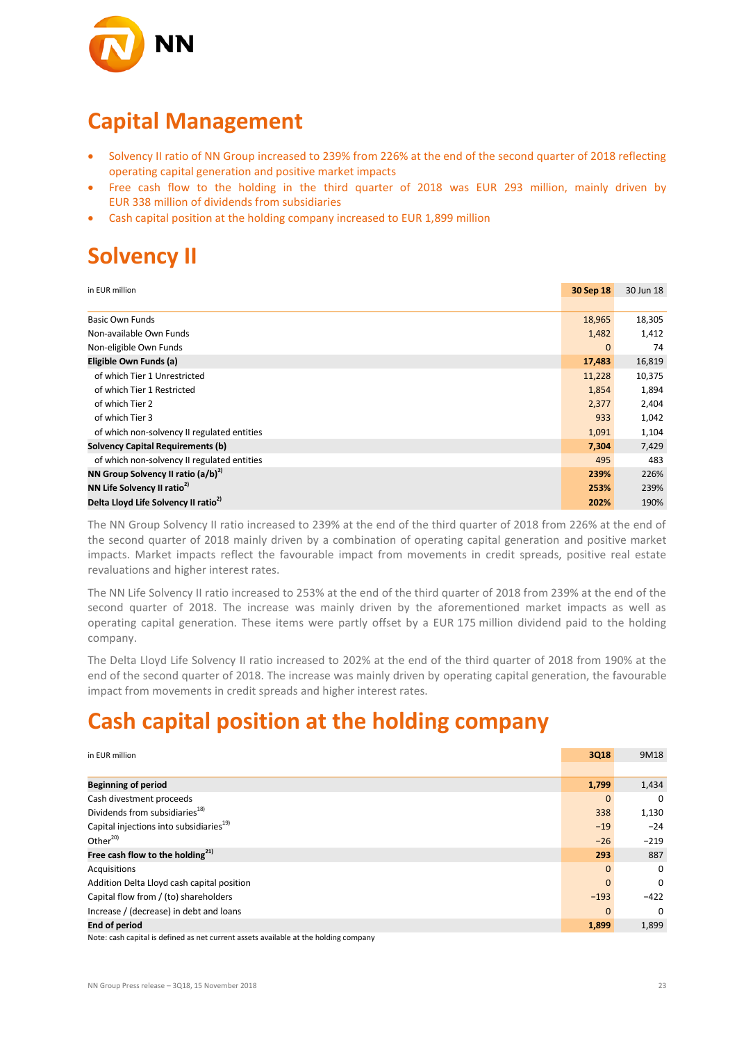

## **Capital Management**

- Solvency II ratio of NN Group increased to 239% from 226% at the end of the second quarter of 2018 reflecting operating capital generation and positive market impacts
- Free cash flow to the holding in the third quarter of 2018 was EUR 293 million, mainly driven by EUR 338 million of dividends from subsidiaries
- Cash capital position at the holding company increased to EUR 1,899 million

# **Solvency II**

| in EUR million                                   | 30 Sep 18    | 30 Jun 18 |
|--------------------------------------------------|--------------|-----------|
|                                                  |              |           |
| <b>Basic Own Funds</b>                           | 18,965       | 18,305    |
| Non-available Own Funds                          | 1,482        | 1,412     |
| Non-eligible Own Funds                           | $\mathbf{0}$ | 74        |
| Eligible Own Funds (a)                           | 17,483       | 16,819    |
| of which Tier 1 Unrestricted                     | 11,228       | 10,375    |
| of which Tier 1 Restricted                       | 1,854        | 1,894     |
| of which Tier 2                                  | 2,377        | 2,404     |
| of which Tier 3                                  | 933          | 1,042     |
| of which non-solvency II regulated entities      | 1,091        | 1,104     |
| <b>Solvency Capital Requirements (b)</b>         | 7,304        | 7,429     |
| of which non-solvency II regulated entities      | 495          | 483       |
| NN Group Solvency II ratio $(a/b)^{2}$           | 239%         | 226%      |
| NN Life Solvency II ratio <sup>2)</sup>          | 253%         | 239%      |
| Delta Lloyd Life Solvency II ratio <sup>2)</sup> | 202%         | 190%      |

The NN Group Solvency II ratio increased to 239% at the end of the third quarter of 2018 from 226% at the end of the second quarter of 2018 mainly driven by a combination of operating capital generation and positive market impacts. Market impacts reflect the favourable impact from movements in credit spreads, positive real estate revaluations and higher interest rates.

The NN Life Solvency II ratio increased to 253% at the end of the third quarter of 2018 from 239% at the end of the second quarter of 2018. The increase was mainly driven by the aforementioned market impacts as well as operating capital generation. These items were partly offset by a EUR 175 million dividend paid to the holding company.

The Delta Lloyd Life Solvency II ratio increased to 202% at the end of the third quarter of 2018 from 190% at the end of the second quarter of 2018. The increase was mainly driven by operating capital generation, the favourable impact from movements in credit spreads and higher interest rates.

# **Cash capital position at the holding company**

| in EUR million                                                                                                                                                                                                                 | 3Q18        | 9M18         |
|--------------------------------------------------------------------------------------------------------------------------------------------------------------------------------------------------------------------------------|-------------|--------------|
|                                                                                                                                                                                                                                |             |              |
| <b>Beginning of period</b>                                                                                                                                                                                                     | 1,799       | 1,434        |
| Cash divestment proceeds                                                                                                                                                                                                       | $\mathbf 0$ | 0            |
| Dividends from subsidiaries <sup>18)</sup>                                                                                                                                                                                     | 338         | 1,130        |
| Capital injections into subsidiaries <sup>19)</sup>                                                                                                                                                                            | $-19$       | $-24$        |
| Other <sup>20)</sup>                                                                                                                                                                                                           | $-26$       | $-219$       |
| Free cash flow to the holding $^{21)}$                                                                                                                                                                                         | 293         | 887          |
| Acquisitions                                                                                                                                                                                                                   | $\Omega$    | 0            |
| Addition Delta Lloyd cash capital position                                                                                                                                                                                     | $\Omega$    | $\mathbf{0}$ |
| Capital flow from / (to) shareholders                                                                                                                                                                                          | $-193$      | $-422$       |
| Increase / (decrease) in debt and loans                                                                                                                                                                                        | $\Omega$    | $\Omega$     |
| <b>End of period</b>                                                                                                                                                                                                           | 1,899       | 1,899        |
| And the series of the series of the series of the series of the series of the series of the series of the series of the series of the series of the series of the series of the series of the series of the series of the seri |             |              |

Note: cash capital is defined as net current assets available at the holding company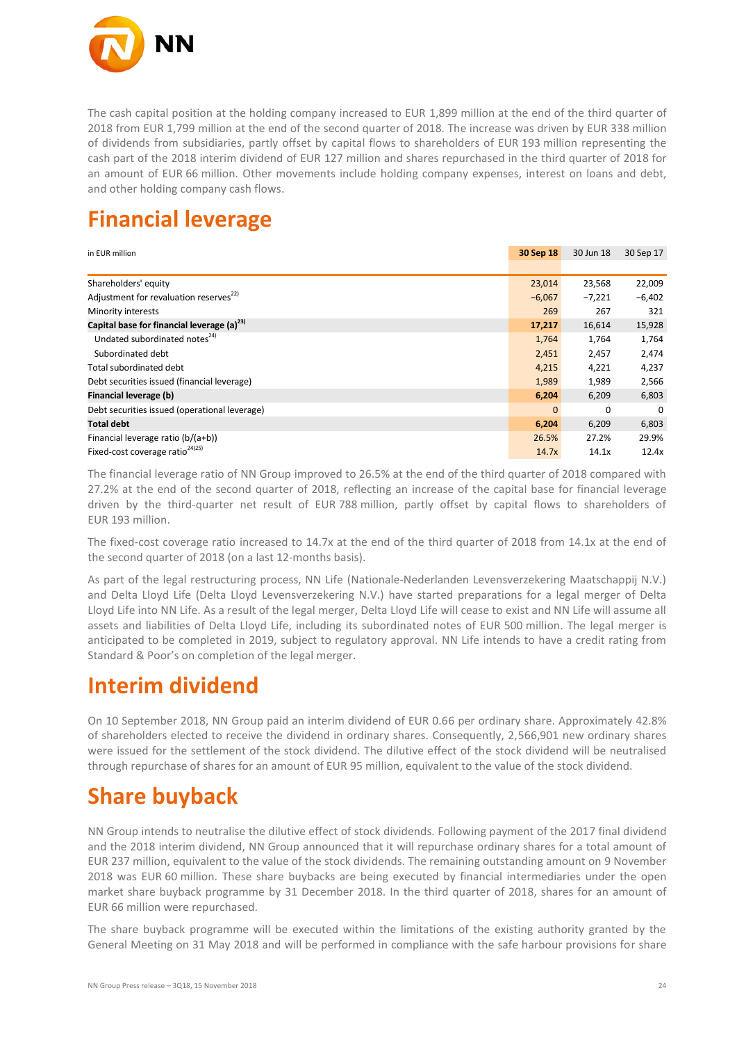

The cash capital position at the holding company increased to EUR 1,899 million at the end of the third quarter of 2018 from EUR 1,799 million at the end of the second quarter of 2018. The increase was driven by EUR 338 million of dividends from subsidiaries, partly offset by capital flows to shareholders of EUR 193 million representing the cash part of the 2018 interim dividend of EUR 127 million and shares repurchased in the third quarter of 2018 for an amount of EUR 66 million. Other movements include holding company expenses, interest on loans and debt, and other holding company cash flows.

# **Financial leverage**

| in EUR million                                         | 30 Sep 18    | 30 Jun 18 | 30 Sep 17 |
|--------------------------------------------------------|--------------|-----------|-----------|
|                                                        |              |           |           |
| Shareholders' equity                                   | 23,014       | 23,568    | 22,009    |
| Adjustment for revaluation reserves <sup>22)</sup>     | $-6,067$     | $-7,221$  | $-6,402$  |
| Minority interests                                     | 269          | 267       | 321       |
| Capital base for financial leverage (a) <sup>23)</sup> | 17,217       | 16,614    | 15,928    |
| Undated subordinated notes <sup>24)</sup>              | 1,764        | 1,764     | 1,764     |
| Subordinated debt                                      | 2,451        | 2,457     | 2,474     |
| Total subordinated debt                                | 4,215        | 4,221     | 4,237     |
| Debt securities issued (financial leverage)            | 1,989        | 1,989     | 2,566     |
| Financial leverage (b)                                 | 6,204        | 6,209     | 6,803     |
| Debt securities issued (operational leverage)          | $\mathbf{0}$ | 0         | $\Omega$  |
| <b>Total debt</b>                                      | 6,204        | 6,209     | 6,803     |
| Financial leverage ratio (b/(a+b))                     | 26.5%        | 27.2%     | 29.9%     |
| Fixed-cost coverage ratio <sup>24)25)</sup>            | 14.7x        | 14.1x     | 12.4x     |

The financial leverage ratio of NN Group improved to 26.5% at the end of the third quarter of 2018 compared with 27.2% at the end of the second quarter of 2018, reflecting an increase of the capital base for financial leverage driven by the third-quarter net result of EUR 788 million, partly offset by capital flows to shareholders of EUR 193 million.

The fixed-cost coverage ratio increased to 14.7x at the end of the third quarter of 2018 from 14.1x at the end of the second quarter of 2018 (on a last 12-months basis).

As part of the legal restructuring process, NN Life (Nationale-Nederlanden Levensverzekering Maatschappij N.V.) and Delta Lloyd Life (Delta Lloyd Levensverzekering N.V.) have started preparations for a legal merger of Delta Lloyd Life into NN Life. As a result of the legal merger, Delta Lloyd Life will cease to exist and NN Life will assume all assets and liabilities of Delta Lloyd Life, including its subordinated notes of EUR 500 million. The legal merger is anticipated to be completed in 2019, subject to regulatory approval. NN Life intends to have a credit rating from Standard & Poor's on completion of the legal merger.

## **Interim dividend**

On 10 September 2018, NN Group paid an interim dividend of EUR 0.66 per ordinary share. Approximately 42.8% of shareholders elected to receive the dividend in ordinary shares. Consequently, 2,566,901 new ordinary shares were issued for the settlement of the stock dividend. The dilutive effect of the stock dividend will be neutralised through repurchase of shares for an amount of EUR 95 million, equivalent to the value of the stock dividend.

# **Share buyback**

NN Group intends to neutralise the dilutive effect of stock dividends. Following payment of the 2017 final dividend and the 2018 interim dividend, NN Group announced that it will repurchase ordinary shares for a total amount of EUR 237 million, equivalent to the value of the stock dividends. The remaining outstanding amount on 9 November 2018 was EUR 60 million. These share buybacks are being executed by financial intermediaries under the open market share buyback programme by 31 December 2018. In the third quarter of 2018, shares for an amount of EUR 66 million were repurchased.

The share buyback programme will be executed within the limitations of the existing authority granted by the General Meeting on 31 May 2018 and will be performed in compliance with the safe harbour provisions for share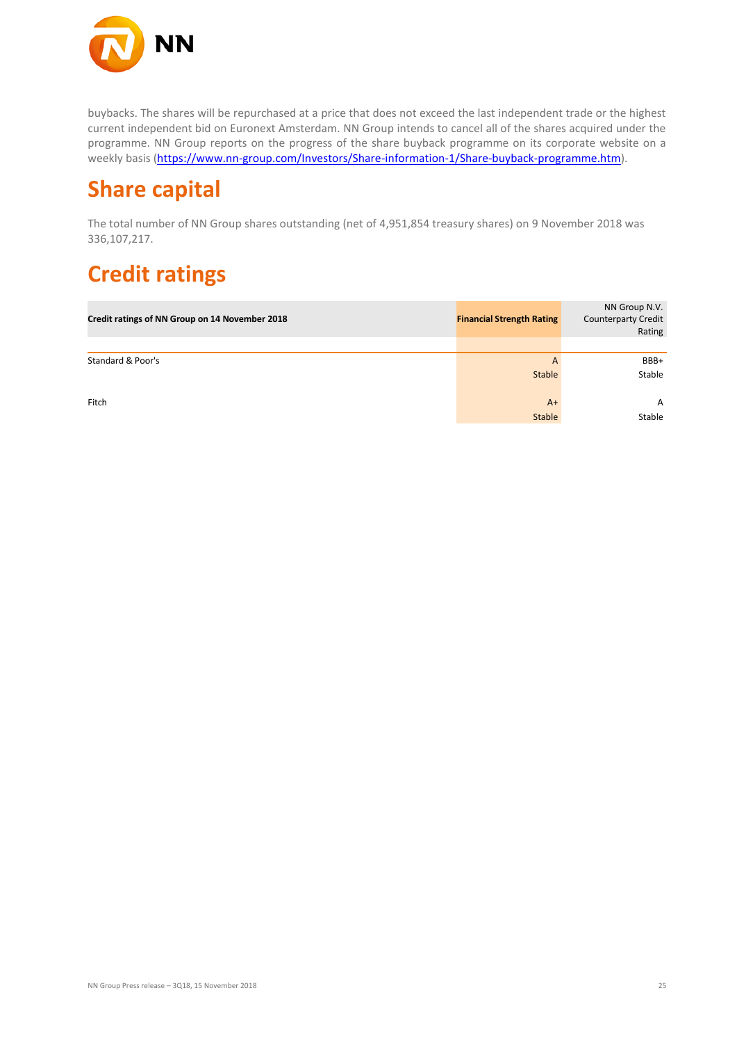

buybacks. The shares will be repurchased at a price that does not exceed the last independent trade or the highest current independent bid on Euronext Amsterdam. NN Group intends to cancel all of the shares acquired under the programme. NN Group reports on the progress of the share buyback programme on its corporate website on a weekly basis [\(https://www.nn-group.com/Investors/Share-information-1/Share-buyback-programme.htm\)](https://www.nn-group.com/Investors/Share-information-1/Share-buyback-programme.htm).

## **Share capital**

The total number of NN Group shares outstanding (net of 4,951,854 treasury shares) on 9 November 2018 was 336,107,217.

# **Credit ratings**

| Credit ratings of NN Group on 14 November 2018 | <b>Financial Strength Rating</b> | NN Group N.V.<br><b>Counterparty Credit</b><br>Rating |
|------------------------------------------------|----------------------------------|-------------------------------------------------------|
|                                                |                                  |                                                       |
| Standard & Poor's                              | $\overline{A}$                   | BBB+                                                  |
|                                                | <b>Stable</b>                    | Stable                                                |
| Fitch                                          | $A+$                             | A                                                     |
|                                                | <b>Stable</b>                    | Stable                                                |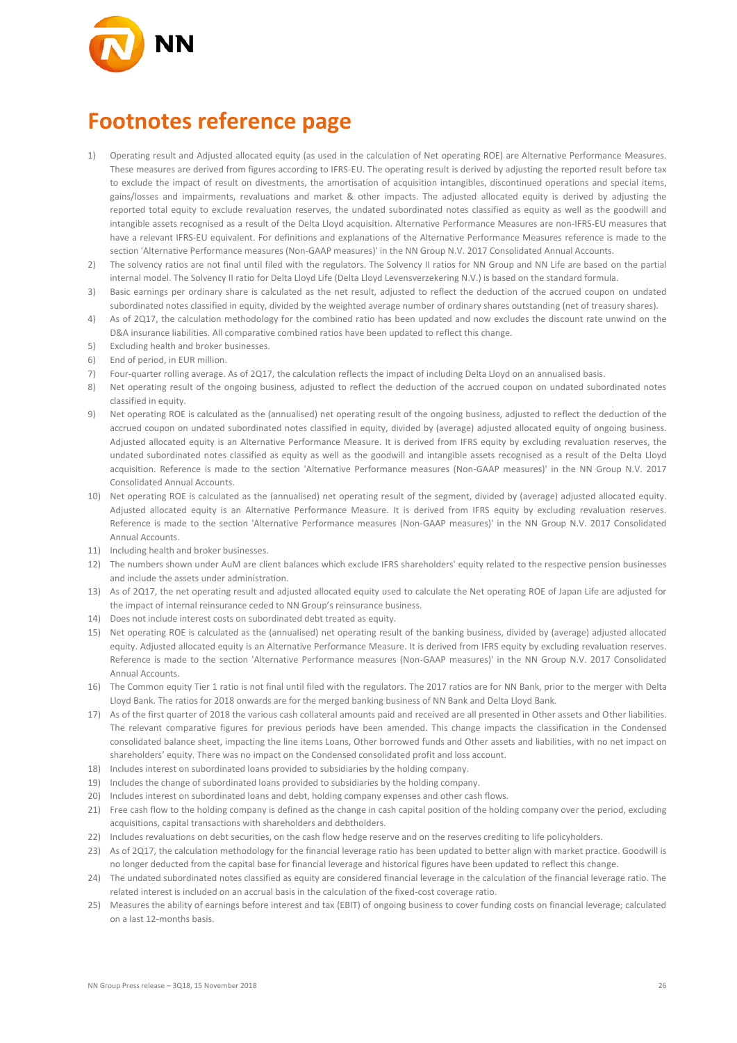

## **Footnotes reference page**

- 1) Operating result and Adjusted allocated equity (as used in the calculation of Net operating ROE) are Alternative Performance Measures. These measures are derived from figures according to IFRS-EU. The operating result is derived by adjusting the reported result before tax to exclude the impact of result on divestments, the amortisation of acquisition intangibles, discontinued operations and special items, gains/losses and impairments, revaluations and market & other impacts. The adjusted allocated equity is derived by adjusting the reported total equity to exclude revaluation reserves, the undated subordinated notes classified as equity as well as the goodwill and intangible assets recognised as a result of the Delta Lloyd acquisition. Alternative Performance Measures are non-IFRS-EU measures that have a relevant IFRS-EU equivalent. For definitions and explanations of the Alternative Performance Measures reference is made to the section 'Alternative Performance measures (Non-GAAP measures)' in the NN Group N.V. 2017 Consolidated Annual Accounts.
- 2) The solvency ratios are not final until filed with the regulators. The Solvency II ratios for NN Group and NN Life are based on the partial internal model. The Solvency II ratio for Delta Lloyd Life (Delta Lloyd Levensverzekering N.V.) is based on the standard formula.
- 3) Basic earnings per ordinary share is calculated as the net result, adjusted to reflect the deduction of the accrued coupon on undated subordinated notes classified in equity, divided by the weighted average number of ordinary shares outstanding (net of treasury shares).
- 4) As of 2Q17, the calculation methodology for the combined ratio has been updated and now excludes the discount rate unwind on the D&A insurance liabilities. All comparative combined ratios have been updated to reflect this change.
- 5) Excluding health and broker businesses.
- 6) End of period, in EUR million.
- 7) Four-quarter rolling average. As of 2Q17, the calculation reflects the impact of including Delta Lloyd on an annualised basis.
- 8) Net operating result of the ongoing business, adjusted to reflect the deduction of the accrued coupon on undated subordinated notes classified in equity.
- 9) Net operating ROE is calculated as the (annualised) net operating result of the ongoing business, adjusted to reflect the deduction of the accrued coupon on undated subordinated notes classified in equity, divided by (average) adjusted allocated equity of ongoing business. Adjusted allocated equity is an Alternative Performance Measure. It is derived from IFRS equity by excluding revaluation reserves, the undated subordinated notes classified as equity as well as the goodwill and intangible assets recognised as a result of the Delta Lloyd acquisition. Reference is made to the section 'Alternative Performance measures (Non-GAAP measures)' in the NN Group N.V. 2017 Consolidated Annual Accounts.
- 10) Net operating ROE is calculated as the (annualised) net operating result of the segment, divided by (average) adjusted allocated equity. Adjusted allocated equity is an Alternative Performance Measure. It is derived from IFRS equity by excluding revaluation reserves. Reference is made to the section 'Alternative Performance measures (Non-GAAP measures)' in the NN Group N.V. 2017 Consolidated Annual Accounts.
- 11) Including health and broker businesses.
- 12) The numbers shown under AuM are client balances which exclude IFRS shareholders' equity related to the respective pension businesses and include the assets under administration.
- 13) As of 2Q17, the net operating result and adjusted allocated equity used to calculate the Net operating ROE of Japan Life are adjusted for the impact of internal reinsurance ceded to NN Group's reinsurance business.
- 14) Does not include interest costs on subordinated debt treated as equity.
- 15) Net operating ROE is calculated as the (annualised) net operating result of the banking business, divided by (average) adjusted allocated equity. Adjusted allocated equity is an Alternative Performance Measure. It is derived from IFRS equity by excluding revaluation reserves. Reference is made to the section 'Alternative Performance measures (Non-GAAP measures)' in the NN Group N.V. 2017 Consolidated Annual Accounts.
- 16) The Common equity Tier 1 ratio is not final until filed with the regulators. The 2017 ratios are for NN Bank, prior to the merger with Delta Lloyd Bank. The ratios for 2018 onwards are for the merged banking business of NN Bank and Delta Lloyd Bank.
- 17) As of the first quarter of 2018 the various cash collateral amounts paid and received are all presented in Other assets and Other liabilities. The relevant comparative figures for previous periods have been amended. This change impacts the classification in the Condensed consolidated balance sheet, impacting the line items Loans, Other borrowed funds and Other assets and liabilities, with no net impact on shareholders' equity. There was no impact on the Condensed consolidated profit and loss account.
- 18) Includes interest on subordinated loans provided to subsidiaries by the holding company.
- 19) Includes the change of subordinated loans provided to subsidiaries by the holding company.
- 20) Includes interest on subordinated loans and debt, holding company expenses and other cash flows.
- 21) Free cash flow to the holding company is defined as the change in cash capital position of the holding company over the period, excluding acquisitions, capital transactions with shareholders and debtholders.
- 22) Includes revaluations on debt securities, on the cash flow hedge reserve and on the reserves crediting to life policyholders.
- 23) As of 2Q17, the calculation methodology for the financial leverage ratio has been updated to better align with market practice. Goodwill is no longer deducted from the capital base for financial leverage and historical figures have been updated to reflect this change.
- 24) The undated subordinated notes classified as equity are considered financial leverage in the calculation of the financial leverage ratio. The related interest is included on an accrual basis in the calculation of the fixed-cost coverage ratio.
- 25) Measures the ability of earnings before interest and tax (EBIT) of ongoing business to cover funding costs on financial leverage; calculated on a last 12-months basis.